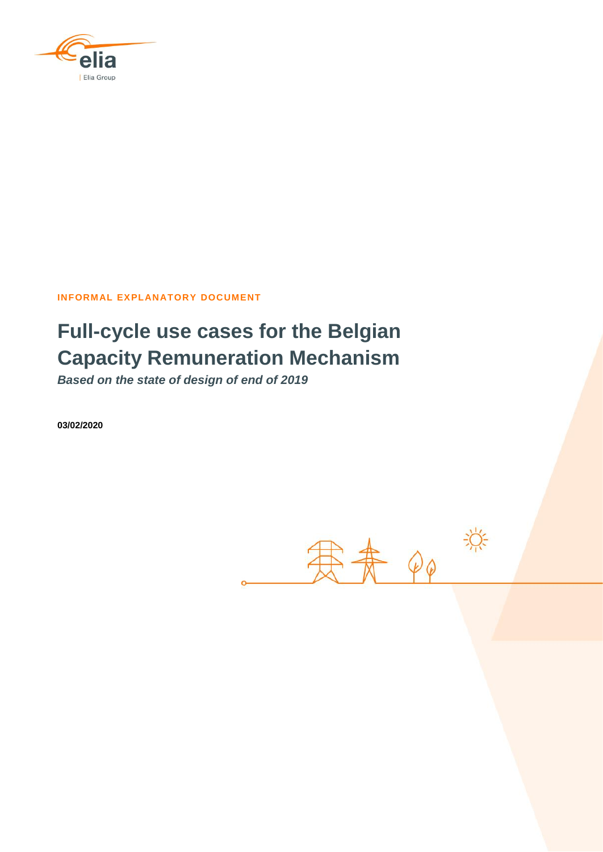

**INFORMAL EXPLANATORY DOCUMENT**

# **Full-cycle use cases for the Belgian Capacity Remuneration Mechanism**

*Based on the state of design of end of 2019*

**03/02/2020**

赛赛的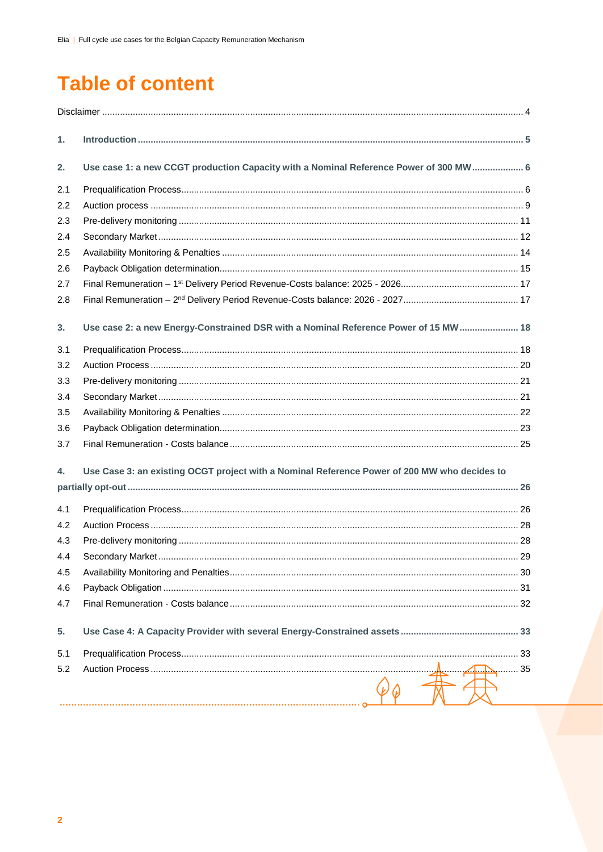# **Table of content**

| 1.  |                                                                                              |  |
|-----|----------------------------------------------------------------------------------------------|--|
| 2.  | Use case 1: a new CCGT production Capacity with a Nominal Reference Power of 300 MW 6        |  |
| 2.1 |                                                                                              |  |
| 2.2 |                                                                                              |  |
| 2.3 |                                                                                              |  |
| 2.4 |                                                                                              |  |
| 2.5 |                                                                                              |  |
| 2.6 |                                                                                              |  |
| 2.7 |                                                                                              |  |
| 2.8 |                                                                                              |  |
| 3.  | Use case 2: a new Energy-Constrained DSR with a Nominal Reference Power of 15 MW 18          |  |
| 3.1 |                                                                                              |  |
| 3.2 |                                                                                              |  |
| 3.3 |                                                                                              |  |
| 3.4 |                                                                                              |  |
| 3.5 |                                                                                              |  |
| 3.6 |                                                                                              |  |
| 3.7 |                                                                                              |  |
| 4.  | Use Case 3: an existing OCGT project with a Nominal Reference Power of 200 MW who decides to |  |
|     |                                                                                              |  |
| 4.1 |                                                                                              |  |
| 4.2 |                                                                                              |  |
| 4.3 |                                                                                              |  |
| 4.4 |                                                                                              |  |
| 4.5 |                                                                                              |  |
| 4.6 |                                                                                              |  |
| 4.7 |                                                                                              |  |
| 5.  |                                                                                              |  |
| 5.1 |                                                                                              |  |
| 5.2 |                                                                                              |  |
|     |                                                                                              |  |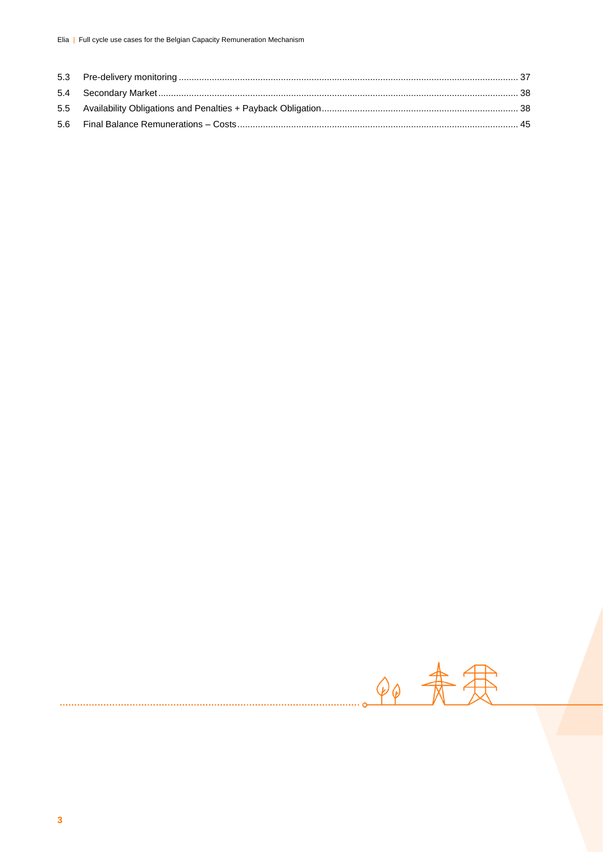90 未寒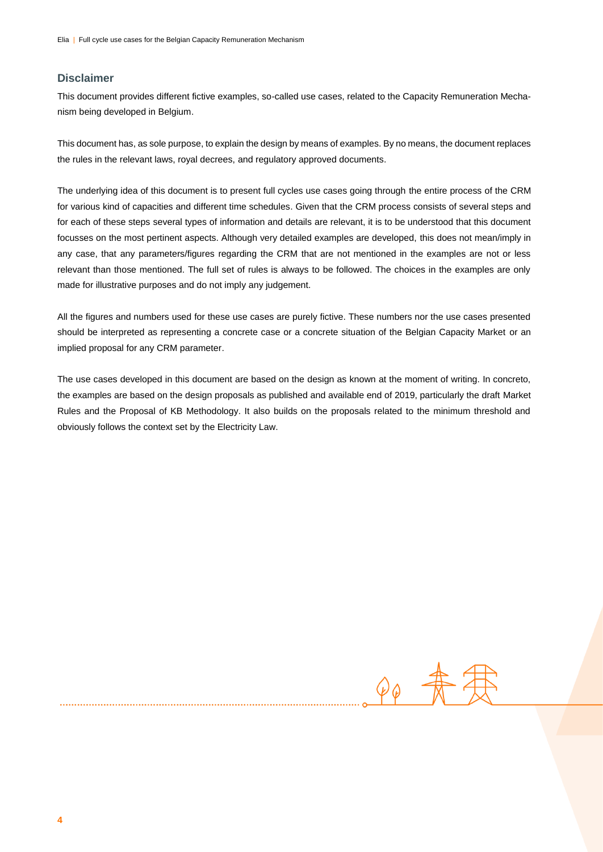#### **Disclaimer**

This document provides different fictive examples, so-called use cases, related to the Capacity Remuneration Mechanism being developed in Belgium.

This document has, as sole purpose, to explain the design by means of examples. By no means, the document replaces the rules in the relevant laws, royal decrees, and regulatory approved documents.

The underlying idea of this document is to present full cycles use cases going through the entire process of the CRM for various kind of capacities and different time schedules. Given that the CRM process consists of several steps and for each of these steps several types of information and details are relevant, it is to be understood that this document focusses on the most pertinent aspects. Although very detailed examples are developed, this does not mean/imply in any case, that any parameters/figures regarding the CRM that are not mentioned in the examples are not or less relevant than those mentioned. The full set of rules is always to be followed. The choices in the examples are only made for illustrative purposes and do not imply any judgement.

All the figures and numbers used for these use cases are purely fictive. These numbers nor the use cases presented should be interpreted as representing a concrete case or a concrete situation of the Belgian Capacity Market or an implied proposal for any CRM parameter.

The use cases developed in this document are based on the design as known at the moment of writing. In concreto, the examples are based on the design proposals as published and available end of 2019, particularly the draft Market Rules and the Proposal of KB Methodology. It also builds on the proposals related to the minimum threshold and obviously follows the context set by the Electricity Law.

 $\varphi_{\hat{\varphi}}$  -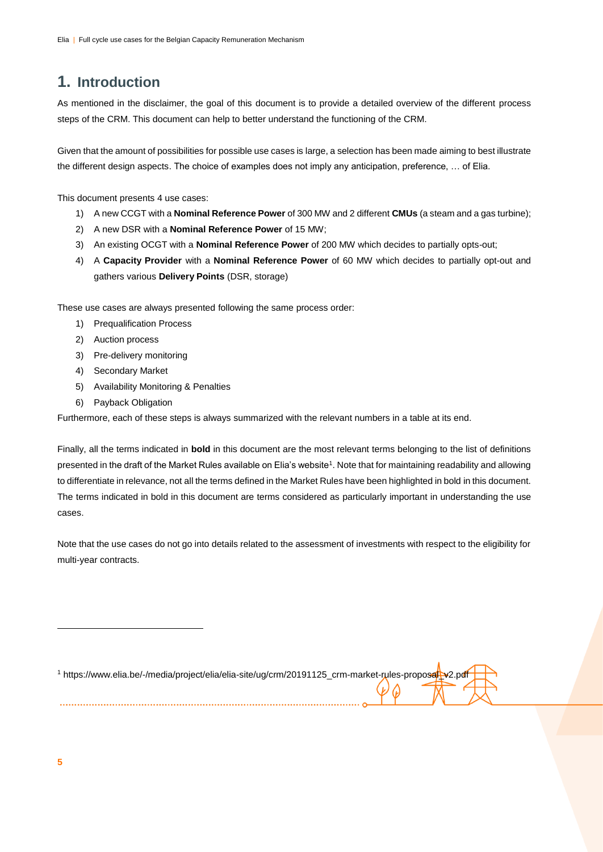## **1. Introduction**

As mentioned in the disclaimer, the goal of this document is to provide a detailed overview of the different process steps of the CRM. This document can help to better understand the functioning of the CRM.

Given that the amount of possibilities for possible use cases is large, a selection has been made aiming to best illustrate the different design aspects. The choice of examples does not imply any anticipation, preference, … of Elia.

This document presents 4 use cases:

- 1) A new CCGT with a **Nominal Reference Power** of 300 MW and 2 different **CMUs** (a steam and a gas turbine);
- 2) A new DSR with a **Nominal Reference Power** of 15 MW;
- 3) An existing OCGT with a **Nominal Reference Power** of 200 MW which decides to partially opts-out;
- 4) A **Capacity Provider** with a **Nominal Reference Power** of 60 MW which decides to partially opt-out and gathers various **Delivery Points** (DSR, storage)

These use cases are always presented following the same process order:

- 1) Prequalification Process
- 2) Auction process
- 3) Pre-delivery monitoring
- 4) Secondary Market
- 5) Availability Monitoring & Penalties
- 6) Payback Obligation

Furthermore, each of these steps is always summarized with the relevant numbers in a table at its end.

Finally, all the terms indicated in **bold** in this document are the most relevant terms belonging to the list of definitions presented in the draft of the Market Rules available on Elia's website<sup>1</sup>. Note that for maintaining readability and allowing to differentiate in relevance, not all the terms defined in the Market Rules have been highlighted in bold in this document. The terms indicated in bold in this document are terms considered as particularly important in understanding the use cases.

Note that the use cases do not go into details related to the assessment of investments with respect to the eligibility for multi-year contracts.

| https://www.elia.be/-/media/project/elia/elia-site/ug/crm/20191125_crm-market-rules-proposal_v2.pdf |  |  |
|-----------------------------------------------------------------------------------------------------|--|--|
|                                                                                                     |  |  |
|                                                                                                     |  |  |
|                                                                                                     |  |  |
|                                                                                                     |  |  |
|                                                                                                     |  |  |

 $\overline{a}$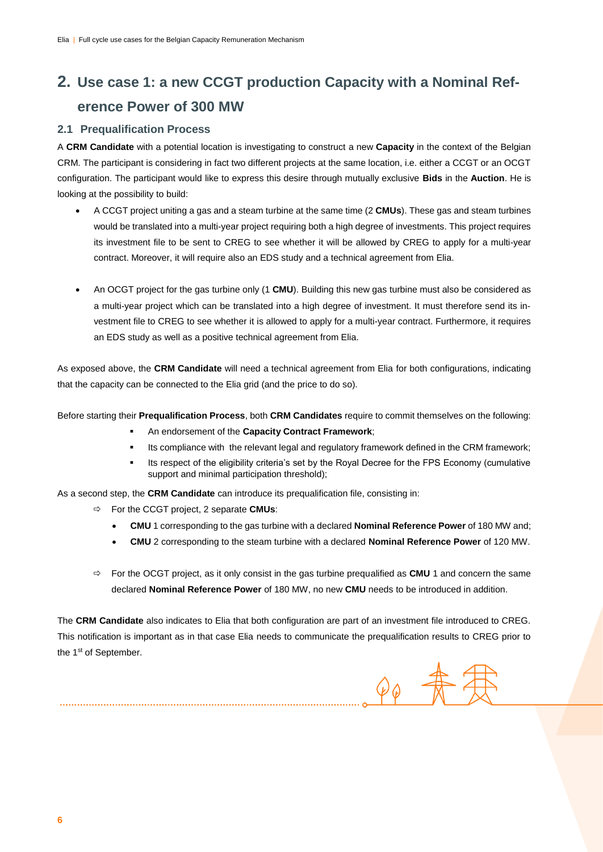## **2. Use case 1: a new CCGT production Capacity with a Nominal Reference Power of 300 MW**

#### **2.1 Prequalification Process**

A **CRM Candidate** with a potential location is investigating to construct a new **Capacity** in the context of the Belgian CRM. The participant is considering in fact two different projects at the same location, i.e. either a CCGT or an OCGT configuration. The participant would like to express this desire through mutually exclusive **Bids** in the **Auction**. He is looking at the possibility to build:

- A CCGT project uniting a gas and a steam turbine at the same time (2 **CMUs**). These gas and steam turbines would be translated into a multi-year project requiring both a high degree of investments. This project requires its investment file to be sent to CREG to see whether it will be allowed by CREG to apply for a multi-year contract. Moreover, it will require also an EDS study and a technical agreement from Elia.
- An OCGT project for the gas turbine only (1 **CMU**). Building this new gas turbine must also be considered as a multi-year project which can be translated into a high degree of investment. It must therefore send its investment file to CREG to see whether it is allowed to apply for a multi-year contract. Furthermore, it requires an EDS study as well as a positive technical agreement from Elia.

As exposed above, the **CRM Candidate** will need a technical agreement from Elia for both configurations, indicating that the capacity can be connected to the Elia grid (and the price to do so).

Before starting their **Prequalification Process**, both **CRM Candidates** require to commit themselves on the following:

- An endorsement of the **Capacity Contract Framework**;
- Its compliance with the relevant legal and regulatory framework defined in the CRM framework;
- Its respect of the eligibility criteria's set by the Royal Decree for the FPS Economy (cumulative support and minimal participation threshold);

As a second step, the **CRM Candidate** can introduce its prequalification file, consisting in:

For the CCGT project, 2 separate **CMUs**:

- **CMU** 1 corresponding to the gas turbine with a declared **Nominal Reference Power** of 180 MW and;
- **CMU** 2 corresponding to the steam turbine with a declared **Nominal Reference Power** of 120 MW.
- $\Rightarrow$  For the OCGT project, as it only consist in the gas turbine prequalified as **CMU** 1 and concern the same declared **Nominal Reference Power** of 180 MW, no new **CMU** needs to be introduced in addition.

The **CRM Candidate** also indicates to Elia that both configuration are part of an investment file introduced to CREG. This notification is important as in that case Elia needs to communicate the prequalification results to CREG prior to the 1<sup>st</sup> of September.

 $90$   $\pi$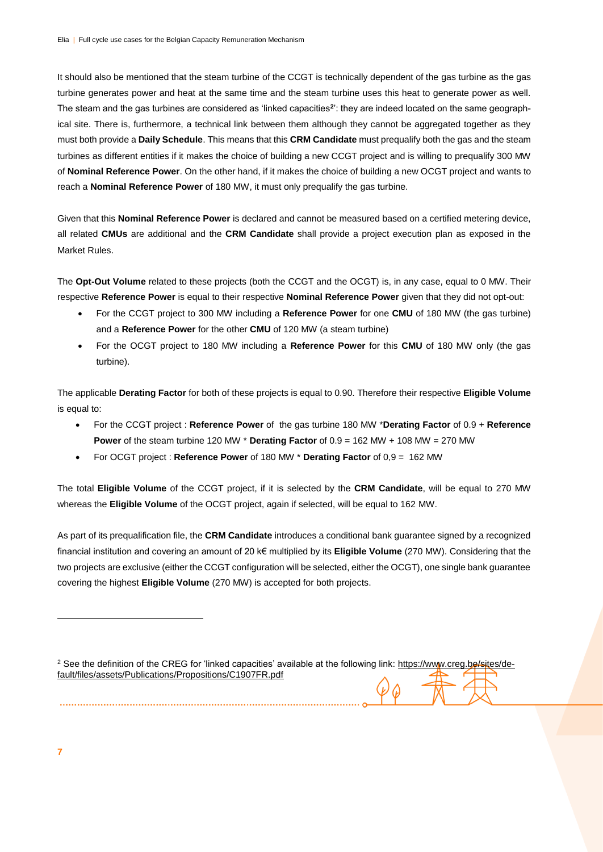It should also be mentioned that the steam turbine of the CCGT is technically dependent of the gas turbine as the gas turbine generates power and heat at the same time and the steam turbine uses this heat to generate power as well. The steam and the gas turbines are considered as 'linked capacities**<sup>2</sup>** ': they are indeed located on the same geographical site. There is, furthermore, a technical link between them although they cannot be aggregated together as they must both provide a **Daily Schedule**. This means that this **CRM Candidate** must prequalify both the gas and the steam turbines as different entities if it makes the choice of building a new CCGT project and is willing to prequalify 300 MW of **Nominal Reference Power**. On the other hand, if it makes the choice of building a new OCGT project and wants to reach a **Nominal Reference Power** of 180 MW, it must only prequalify the gas turbine.

Given that this **Nominal Reference Power** is declared and cannot be measured based on a certified metering device, all related **CMUs** are additional and the **CRM Candidate** shall provide a project execution plan as exposed in the Market Rules.

The **Opt-Out Volume** related to these projects (both the CCGT and the OCGT) is, in any case, equal to 0 MW. Their respective **Reference Power** is equal to their respective **Nominal Reference Power** given that they did not opt-out:

- For the CCGT project to 300 MW including a **Reference Power** for one **CMU** of 180 MW (the gas turbine) and a **Reference Power** for the other **CMU** of 120 MW (a steam turbine)
- For the OCGT project to 180 MW including a **Reference Power** for this **CMU** of 180 MW only (the gas turbine).

The applicable **Derating Factor** for both of these projects is equal to 0.90. Therefore their respective **Eligible Volume**  is equal to:

- For the CCGT project : **Reference Power** of the gas turbine 180 MW \***Derating Factor** of 0.9 + **Reference Power** of the steam turbine 120 MW \* **Derating Factor** of 0.9 = 162 MW + 108 MW = 270 MW
- For OCGT project : **Reference Power** of 180 MW \* **Derating Factor** of 0,9 = 162 MW

The total **Eligible Volume** of the CCGT project, if it is selected by the **CRM Candidate**, will be equal to 270 MW whereas the **Eligible Volume** of the OCGT project, again if selected, will be equal to 162 MW.

As part of its prequalification file, the **CRM Candidate** introduces a conditional bank guarantee signed by a recognized financial institution and covering an amount of 20 k€ multiplied by its **Eligible Volume** (270 MW). Considering that the two projects are exclusive (either the CCGT configuration will be selected, either the OCGT), one single bank guarantee covering the highest **Eligible Volume** (270 MW) is accepted for both projects.

<sup>2</sup> See the definition of the CREG for 'linked capacities' available at the following link[: https://www.creg.be/sites/de](https://www.creg.be/sites/default/files/assets/Publications/Propositions/C1907FR.pdf)[fault/files/assets/Publications/Propositions/C1907FR.pdf](https://www.creg.be/sites/default/files/assets/Publications/Propositions/C1907FR.pdf) 

**7**

-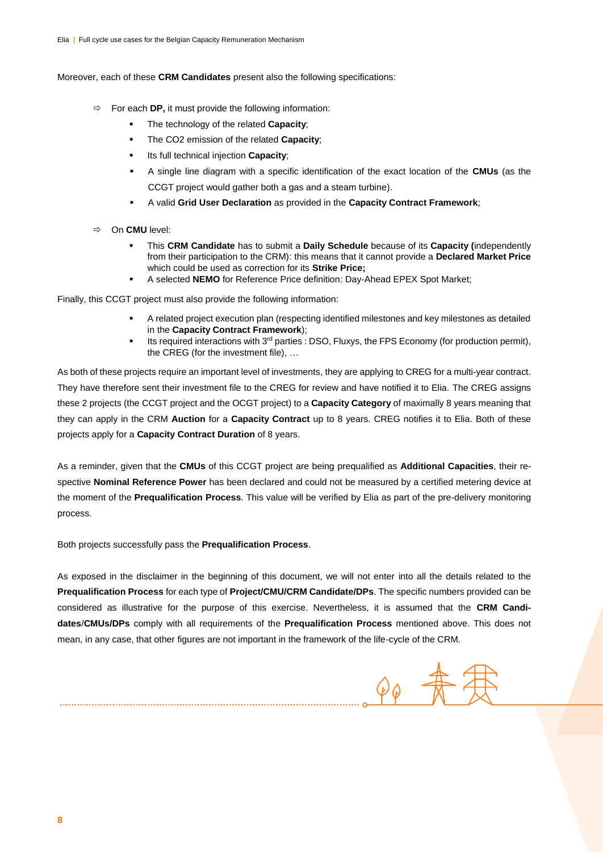Moreover, each of these **CRM Candidates** present also the following specifications:

- $\Rightarrow$  For each **DP**, it must provide the following information:
	- The technology of the related **Capacity**;
	- The CO2 emission of the related **Capacity**;
	- Its full technical injection **Capacity**;
	- A single line diagram with a specific identification of the exact location of the **CMUs** (as the CCGT project would gather both a gas and a steam turbine).
	- A valid **Grid User Declaration** as provided in the **Capacity Contract Framework**;
- On **CMU** level:
	- This **CRM Candidate** has to submit a **Daily Schedule** because of its **Capacity (**independently from their participation to the CRM): this means that it cannot provide a **Declared Market Price** which could be used as correction for its **Strike Price;**
	- A selected **NEMO** for Reference Price definition: Day-Ahead EPEX Spot Market;

Finally, this CCGT project must also provide the following information:

- A related project execution plan (respecting identified milestones and key milestones as detailed in the **Capacity Contract Framework**);
- Its required interactions with 3<sup>rd</sup> parties : DSO, Fluxys, the FPS Economy (for production permit), the CREG (for the investment file), …

As both of these projects require an important level of investments, they are applying to CREG for a multi-year contract. They have therefore sent their investment file to the CREG for review and have notified it to Elia. The CREG assigns these 2 projects (the CCGT project and the OCGT project) to a **Capacity Category** of maximally 8 years meaning that they can apply in the CRM **Auction** for a **Capacity Contract** up to 8 years. CREG notifies it to Elia. Both of these projects apply for a **Capacity Contract Duration** of 8 years.

As a reminder, given that the **CMUs** of this CCGT project are being prequalified as **Additional Capacities**, their respective **Nominal Reference Power** has been declared and could not be measured by a certified metering device at the moment of the **Prequalification Process**. This value will be verified by Elia as part of the pre-delivery monitoring process.

Both projects successfully pass the **Prequalification Process**.

As exposed in the disclaimer in the beginning of this document, we will not enter into all the details related to the **Prequalification Process** for each type of **Project/CMU/CRM Candidate/DPs**. The specific numbers provided can be considered as illustrative for the purpose of this exercise. Nevertheless, it is assumed that the **CRM Candidates**/**CMUs/DPs** comply with all requirements of the **Prequalification Process** mentioned above. This does not mean, in any case, that other figures are not important in the framework of the life-cycle of the CRM.

 $\varphi_{\phi}$  -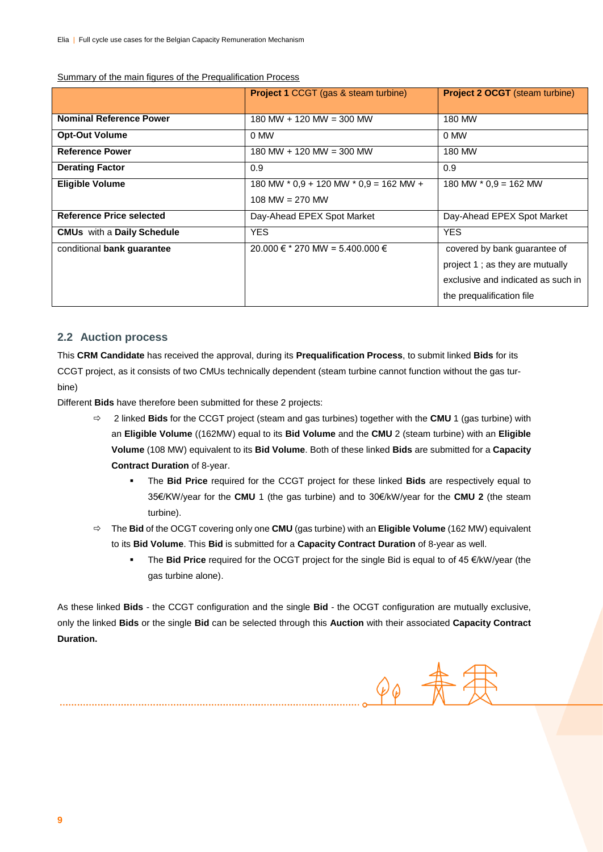|                                   | <b>Project 1 CCGT (gas &amp; steam turbine)</b>                 | <b>Project 2 OCGT</b> (steam turbine)                                                                                              |
|-----------------------------------|-----------------------------------------------------------------|------------------------------------------------------------------------------------------------------------------------------------|
| <b>Nominal Reference Power</b>    | $180 \text{ MW} + 120 \text{ MW} = 300 \text{ MW}$              | 180 MW                                                                                                                             |
| <b>Opt-Out Volume</b>             | 0 MW                                                            | 0 MW                                                                                                                               |
| <b>Reference Power</b>            | $180$ MW + 120 MW = 300 MW                                      | 180 MW                                                                                                                             |
| <b>Derating Factor</b>            | 0.9                                                             | 0.9                                                                                                                                |
| <b>Eligible Volume</b>            | 180 MW $*$ 0.9 + 120 MW $*$ 0.9 = 162 MW +<br>$108$ MW = 270 MW | 180 MW $*$ 0.9 = 162 MW                                                                                                            |
| <b>Reference Price selected</b>   | Day-Ahead EPEX Spot Market                                      | Day-Ahead EPEX Spot Market                                                                                                         |
| <b>CMUs</b> with a Daily Schedule | YES.                                                            | YES.                                                                                                                               |
| conditional bank guarantee        | 20.000 € $*$ 270 MW = 5.400.000 €                               | covered by bank guarantee of<br>project 1; as they are mutually<br>exclusive and indicated as such in<br>the prequalification file |

Summary of the main figures of the Prequalification Process

#### **2.2 Auction process**

This **CRM Candidate** has received the approval, during its **Prequalification Process**, to submit linked **Bids** for its CCGT project, as it consists of two CMUs technically dependent (steam turbine cannot function without the gas turbine)

Different **Bids** have therefore been submitted for these 2 projects:

- 2 linked **Bids** for the CCGT project (steam and gas turbines) together with the **CMU** 1 (gas turbine) with an **Eligible Volume** ((162MW) equal to its **Bid Volume** and the **CMU** 2 (steam turbine) with an **Eligible Volume** (108 MW) equivalent to its **Bid Volume**. Both of these linked **Bids** are submitted for a **Capacity Contract Duration** of 8-year.
	- The **Bid Price** required for the CCGT project for these linked **Bids** are respectively equal to 35€/KW/year for the **CMU** 1 (the gas turbine) and to 30€/kW/year for the **CMU 2** (the steam turbine).
- The **Bid** of the OCGT covering only one **CMU** (gas turbine) with an **Eligible Volume** (162 MW) equivalent to its **Bid Volume**. This **Bid** is submitted for a **Capacity Contract Duration** of 8-year as well.
	- The **Bid Price** required for the OCGT project for the single Bid is equal to of 45 €/kW/year (the gas turbine alone).

As these linked **Bids** - the CCGT configuration and the single **Bid** - the OCGT configuration are mutually exclusive, only the linked **Bids** or the single **Bid** can be selected through this **Auction** with their associated **Capacity Contract Duration.** 

 $90 \frac{4}{10}$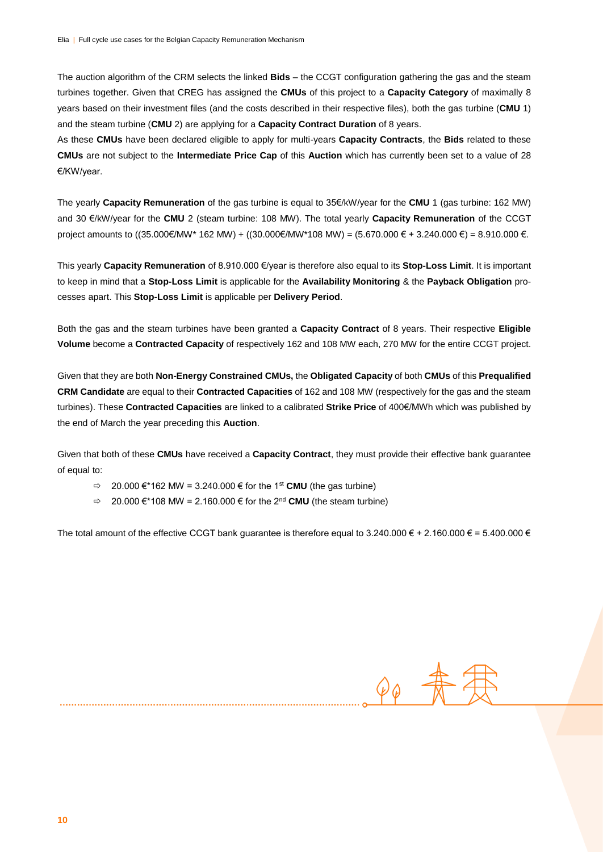The auction algorithm of the CRM selects the linked **Bids** – the CCGT configuration gathering the gas and the steam turbines together. Given that CREG has assigned the **CMUs** of this project to a **Capacity Category** of maximally 8 years based on their investment files (and the costs described in their respective files), both the gas turbine (**CMU** 1) and the steam turbine (**CMU** 2) are applying for a **Capacity Contract Duration** of 8 years.

As these **CMUs** have been declared eligible to apply for multi-years **Capacity Contracts**, the **Bids** related to these **CMUs** are not subject to the **Intermediate Price Cap** of this **Auction** which has currently been set to a value of 28 €/KW/year.

The yearly **Capacity Remuneration** of the gas turbine is equal to 35€/kW/year for the **CMU** 1 (gas turbine: 162 MW) and 30 €/kW/year for the **CMU** 2 (steam turbine: 108 MW). The total yearly **Capacity Remuneration** of the CCGT project amounts to ((35.000€/MW\* 162 MW) + ((30.000€/MW\*108 MW) = (5.670.000 € + 3.240.000 €) = 8.910.000 €.

This yearly **Capacity Remuneration** of 8.910.000 €/year is therefore also equal to its **Stop-Loss Limit**. It is important to keep in mind that a **Stop-Loss Limit** is applicable for the **Availability Monitoring** & the **Payback Obligation** processes apart. This **Stop-Loss Limit** is applicable per **Delivery Period**.

Both the gas and the steam turbines have been granted a **Capacity Contract** of 8 years. Their respective **Eligible Volume** become a **Contracted Capacity** of respectively 162 and 108 MW each, 270 MW for the entire CCGT project.

Given that they are both **Non-Energy Constrained CMUs,** the **Obligated Capacity** of both **CMUs** of this **Prequalified CRM Candidate** are equal to their **Contracted Capacities** of 162 and 108 MW (respectively for the gas and the steam turbines). These **Contracted Capacities** are linked to a calibrated **Strike Price** of 400€/MWh which was published by the end of March the year preceding this **Auction**.

Given that both of these **CMUs** have received a **Capacity Contract**, they must provide their effective bank guarantee of equal to:

- $\Rightarrow$  20.000 €\*162 MW = 3.240.000 € for the 1<sup>st</sup> **CMU** (the gas turbine)
- $\Rightarrow$  20.000 €\*108 MW = 2.160.000 € for the 2<sup>nd</sup> **CMU** (the steam turbine)

The total amount of the effective CCGT bank guarantee is therefore equal to 3.240.000  $\in$  + 2.160.000  $\in$  = 5.400.000  $\in$ 

 $\varphi_{\varphi}$   $\frac{1}{N}$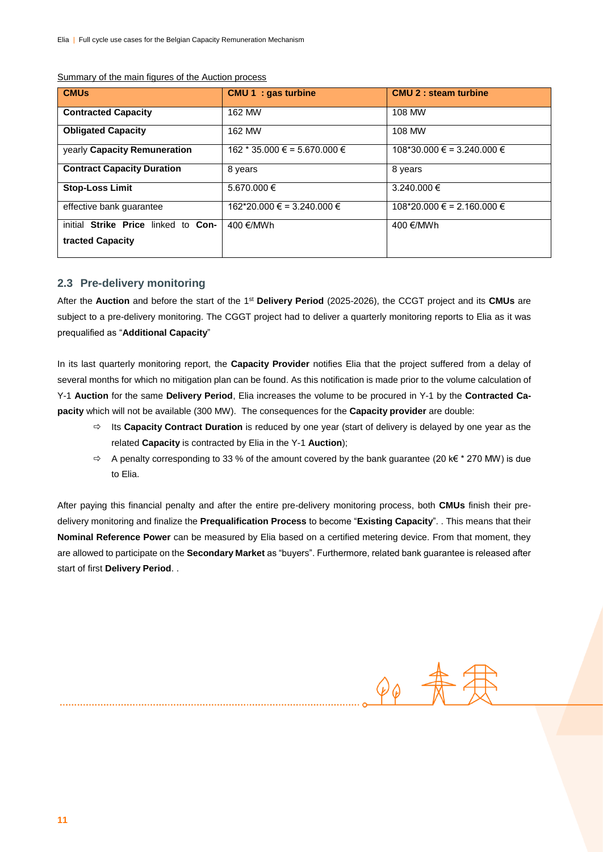| <b>CMUs</b>                                             | <b>CMU 1 : gas turbine</b>                | <b>CMU 2 : steam turbine</b>            |
|---------------------------------------------------------|-------------------------------------------|-----------------------------------------|
| <b>Contracted Capacity</b>                              | 162 MW                                    | 108 MW                                  |
| <b>Obligated Capacity</b>                               | 162 MW                                    | 108 MW                                  |
| yearly Capacity Remuneration                            | $162 * 35.000 \text{ } \in$ = 5.670.000 € | $108*30.000 \text{ } \in$ = 3.240.000 € |
| <b>Contract Capacity Duration</b>                       | 8 years                                   | 8 years                                 |
| <b>Stop-Loss Limit</b>                                  | 5.670.000 €                               | 3.240.000 €                             |
| effective bank guarantee                                | $162*20.000 \text{ } \in$ = 3.240.000 €   | $108*20.000 \text{ } \in$ = 2.160.000 € |
| initial Strike Price linked to Con-<br>tracted Capacity | 400 €/MWh                                 | 400 €/MWh                               |

#### Summary of the main figures of the Auction process

#### **2.3 Pre-delivery monitoring**

After the Auction and before the start of the 1<sup>st</sup> Delivery Period (2025-2026), the CCGT project and its CMUs are subject to a pre-delivery monitoring. The CGGT project had to deliver a quarterly monitoring reports to Elia as it was prequalified as "**Additional Capacity**"

In its last quarterly monitoring report, the **Capacity Provider** notifies Elia that the project suffered from a delay of several months for which no mitigation plan can be found. As this notification is made prior to the volume calculation of Y-1 **Auction** for the same **Delivery Period**, Elia increases the volume to be procured in Y-1 by the **Contracted Capacity** which will not be available (300 MW). The consequences for the **Capacity provider** are double:

- Its **Capacity Contract Duration** is reduced by one year (start of delivery is delayed by one year as the related **Capacity** is contracted by Elia in the Y-1 **Auction**);
- $\Rightarrow$  A penalty corresponding to 33 % of the amount covered by the bank guarantee (20 k€ \* 270 MW) is due to Elia.

 $\varphi_{\hat{\varphi}}$  -

After paying this financial penalty and after the entire pre-delivery monitoring process, both **CMUs** finish their predelivery monitoring and finalize the **Prequalification Process** to become "**Existing Capacity**". . This means that their **Nominal Reference Power** can be measured by Elia based on a certified metering device. From that moment, they are allowed to participate on the **Secondary Market** as "buyers". Furthermore, related bank guarantee is released after start of first **Delivery Period**. .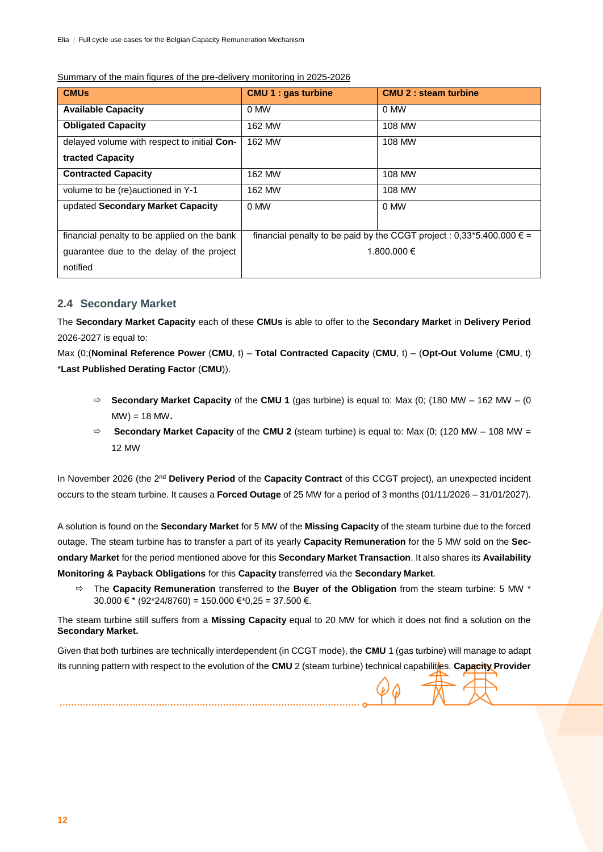| <b>CMU<sub>s</sub></b>                      | <b>CMU 1 : gas turbine</b> | <b>CMU 2 : steam turbine</b>                                                   |
|---------------------------------------------|----------------------------|--------------------------------------------------------------------------------|
| <b>Available Capacity</b>                   | 0 MW                       | 0 MW                                                                           |
| <b>Obligated Capacity</b>                   | 162 MW                     | 108 MW                                                                         |
| delayed volume with respect to initial Con- | 162 MW                     | 108 MW                                                                         |
| tracted Capacity                            |                            |                                                                                |
| <b>Contracted Capacity</b>                  | 162 MW                     | 108 MW                                                                         |
| volume to be (re)auctioned in Y-1           | 162 MW                     | 108 MW                                                                         |
| updated Secondary Market Capacity           | 0 MW                       | 0 MW                                                                           |
|                                             |                            |                                                                                |
| financial penalty to be applied on the bank |                            | financial penalty to be paid by the CCGT project : 0,33*5.400.000 $\epsilon$ = |
| quarantee due to the delay of the project   |                            | 1.800.000 €                                                                    |
| notified                                    |                            |                                                                                |

#### Summary of the main figures of the pre-delivery monitoring in 2025-2026

#### **2.4 Secondary Market**

The **Secondary Market Capacity** each of these **CMUs** is able to offer to the **Secondary Market** in **Delivery Period** 2026-2027 is equal to:

Max (0;(**Nominal Reference Power** (**CMU**, t) – **Total Contracted Capacity** (**CMU**, t) – (**Opt-Out Volume** (**CMU**, t) \***Last Published Derating Factor** (**CMU**)).

- $\Rightarrow$  **Secondary Market Capacity** of the **CMU 1** (gas turbine) is equal to: Max (0; (180 MW 162 MW (0) MW) = 18 MW**.**
- $\Rightarrow$  **Secondary Market Capacity** of the **CMU 2** (steam turbine) is equal to: Max (0; (120 MW 108 MW = 12 MW

In November 2026 (the 2<sup>nd</sup> Delivery Period of the Capacity Contract of this CCGT project), an unexpected incident occurs to the steam turbine. It causes a **Forced Outage** of 25 MW for a period of 3 months (01/11/2026 – 31/01/2027).

A solution is found on the **Secondary Market** for 5 MW of the **Missing Capacity** of the steam turbine due to the forced outage. The steam turbine has to transfer a part of its yearly **Capacity Remuneration** for the 5 MW sold on the **Secondary Market** for the period mentioned above for this **Secondary Market Transaction**. It also shares its **Availability Monitoring & Payback Obligations** for this **Capacity** transferred via the **Secondary Market**.

 The **Capacity Remuneration** transferred to the **Buyer of the Obligation** from the steam turbine: 5 MW \* 30.000 € \* (92\*24/8760) = 150.000 € \* 0,25 = 37.500 €.

The steam turbine still suffers from a **Missing Capacity** equal to 20 MW for which it does not find a solution on the **Secondary Market.**

Given that both turbines are technically interdependent (in CCGT mode), the **CMU** 1 (gas turbine) will manage to adapt its running pattern with respect to the evolution of the **CMU** 2 (steam turbine) technical capabilities. **Capacity Provider**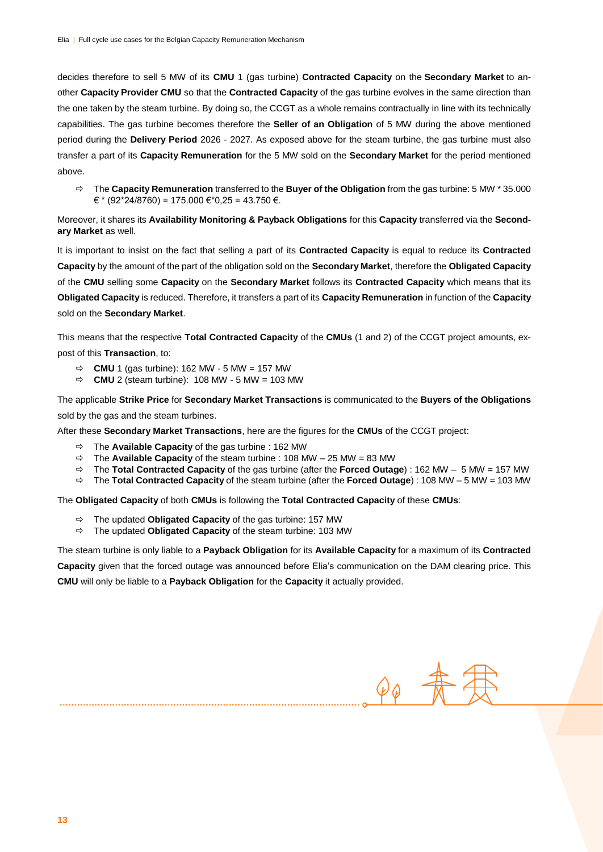decides therefore to sell 5 MW of its **CMU** 1 (gas turbine) **Contracted Capacity** on the **Secondary Market** to another **Capacity Provider CMU** so that the **Contracted Capacity** of the gas turbine evolves in the same direction than the one taken by the steam turbine. By doing so, the CCGT as a whole remains contractually in line with its technically capabilities. The gas turbine becomes therefore the **Seller of an Obligation** of 5 MW during the above mentioned period during the **Delivery Period** 2026 - 2027. As exposed above for the steam turbine, the gas turbine must also transfer a part of its **Capacity Remuneration** for the 5 MW sold on the **Secondary Market** for the period mentioned above.

 The **Capacity Remuneration** transferred to the **Buyer of the Obligation** from the gas turbine: 5 MW \* 35.000  $€$  \* (92\*24/8760) = 175.000 €\*0,25 = 43.750 €.

Moreover, it shares its **Availability Monitoring & Payback Obligations** for this **Capacity** transferred via the **Secondary Market** as well.

It is important to insist on the fact that selling a part of its **Contracted Capacity** is equal to reduce its **Contracted Capacity** by the amount of the part of the obligation sold on the **Secondary Market**, therefore the **Obligated Capacity** of the **CMU** selling some **Capacity** on the **Secondary Market** follows its **Contracted Capacity** which means that its **Obligated Capacity** is reduced. Therefore, it transfers a part of its **Capacity Remuneration** in function of the **Capacity** sold on the **Secondary Market**.

This means that the respective **Total Contracted Capacity** of the **CMUs** (1 and 2) of the CCGT project amounts, expost of this **Transaction**, to:

- $\Rightarrow$  **CMU** 1 (gas turbine): 162 MW 5 MW = 157 MW
- $\Rightarrow$  **CMU** 2 (steam turbine): 108 MW 5 MW = 103 MW

The applicable **Strike Price** for **Secondary Market Transactions** is communicated to the **Buyers of the Obligations**  sold by the gas and the steam turbines.

After these **Secondary Market Transactions**, here are the figures for the **CMUs** of the CCGT project:

- The **Available Capacity** of the gas turbine : 162 MW
- $\Rightarrow$  The **Available Capacity** of the steam turbine : 108 MW 25 MW = 83 MW
- The **Total Contracted Capacity** of the gas turbine (after the **Forced Outage**) : 162 MW 5 MW = 157 MW
- The **Total Contracted Capacity** of the steam turbine (after the **Forced Outage**) : 108 MW 5 MW = 103 MW

The **Obligated Capacity** of both **CMUs** is following the **Total Contracted Capacity** of these **CMUs**:

- The updated **Obligated Capacity** of the gas turbine: 157 MW
- The updated **Obligated Capacity** of the steam turbine: 103 MW

The steam turbine is only liable to a **Payback Obligation** for its **Available Capacity** for a maximum of its **Contracted Capacity** given that the forced outage was announced before Elia's communication on the DAM clearing price. This **CMU** will only be liable to a **Payback Obligation** for the **Capacity** it actually provided.

 $\varphi_{\hat{\omega}}$  .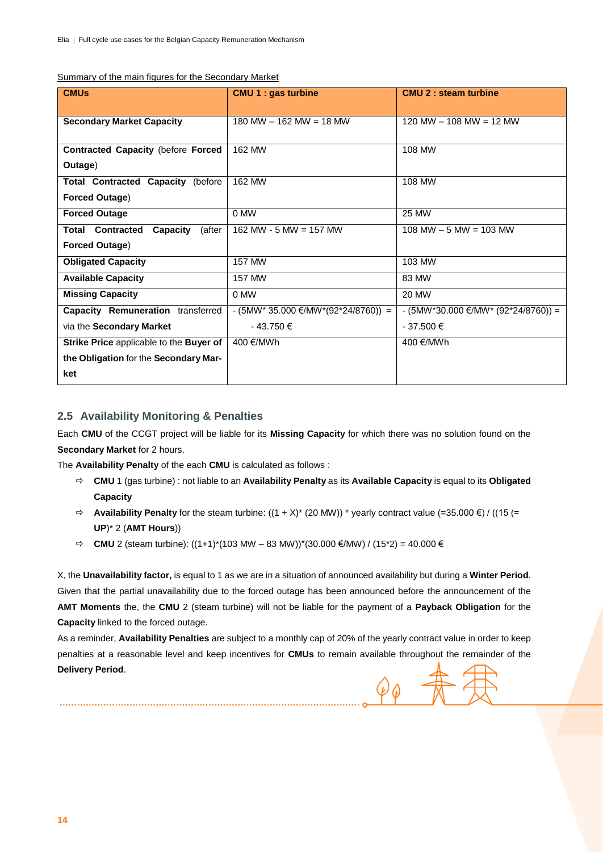|  | Summary of the main figures for the Secondary Market |  |
|--|------------------------------------------------------|--|
|  |                                                      |  |

| <b>CMUs</b>                                   | <b>CMU 1 : gas turbine</b>          | <b>CMU 2 : steam turbine</b>        |
|-----------------------------------------------|-------------------------------------|-------------------------------------|
| <b>Secondary Market Capacity</b>              | 180 MW $-$ 162 MW $=$ 18 MW         | 120 MW $-$ 108 MW $=$ 12 MW         |
|                                               |                                     |                                     |
| <b>Contracted Capacity (before Forced</b>     | 162 MW                              | 108 MW                              |
| Outage)                                       |                                     |                                     |
| <b>Total Contracted Capacity (before</b>      | 162 MW                              | 108 MW                              |
| <b>Forced Outage)</b>                         |                                     |                                     |
| <b>Forced Outage</b>                          | 0 MW                                | 25 MW                               |
| <b>Total Contracted</b><br>Capacity<br>(after | 162 MW - 5 MW = 157 MW              | $108$ MW $-5$ MW $= 103$ MW         |
| <b>Forced Outage)</b>                         |                                     |                                     |
| <b>Obligated Capacity</b>                     | 157 MW                              | 103 MW                              |
| <b>Available Capacity</b>                     | <b>157 MW</b>                       | 83 MW                               |
| <b>Missing Capacity</b>                       | 0 MW                                | 20 MW                               |
| Capacity Remuneration transferred             | - (5MW* 35.000 €/MW*(92*24/8760)) = | - (5MW*30.000 €/MW* (92*24/8760)) = |
| via the Secondary Market                      | $-43.750 \in$                       | $-37.500 \in$                       |
| Strike Price applicable to the Buyer of       | 400 €/MWh                           | 400 €/MWh                           |
| the Obligation for the Secondary Mar-         |                                     |                                     |
| ket                                           |                                     |                                     |

#### **2.5 Availability Monitoring & Penalties**

Each **CMU** of the CCGT project will be liable for its **Missing Capacity** for which there was no solution found on the **Secondary Market** for 2 hours.

The **Availability Penalty** of the each **CMU** is calculated as follows :

- **CMU** 1 (gas turbine) : not liable to an **Availability Penalty** as its **Available Capacity** is equal to its **Obligated Capacity**
- $\Rightarrow$  **Availability Penalty** for the steam turbine: ((1 + X)<sup>\*</sup> (20 MW)) <sup>\*</sup> yearly contract value (=35.000 €) / ((15 (= **UP**)\* 2 (**AMT Hours**))
- $\Rightarrow$  **CMU** 2 (steam turbine): ((1+1)<sup>\*</sup>(103 MW 83 MW))<sup>\*</sup>(30.000 €/MW) / (15<sup>\*</sup>2) = 40.000 €

X, the **Unavailability factor,** is equal to 1 as we are in a situation of announced availability but during a **Winter Period**. Given that the partial unavailability due to the forced outage has been announced before the announcement of the **AMT Moments** the, the **CMU** 2 (steam turbine) will not be liable for the payment of a **Payback Obligation** for the **Capacity** linked to the forced outage.

As a reminder, **Availability Penalties** are subject to a monthly cap of 20% of the yearly contract value in order to keep penalties at a reasonable level and keep incentives for **CMUs** to remain available throughout the remainder of the **Delivery Period**.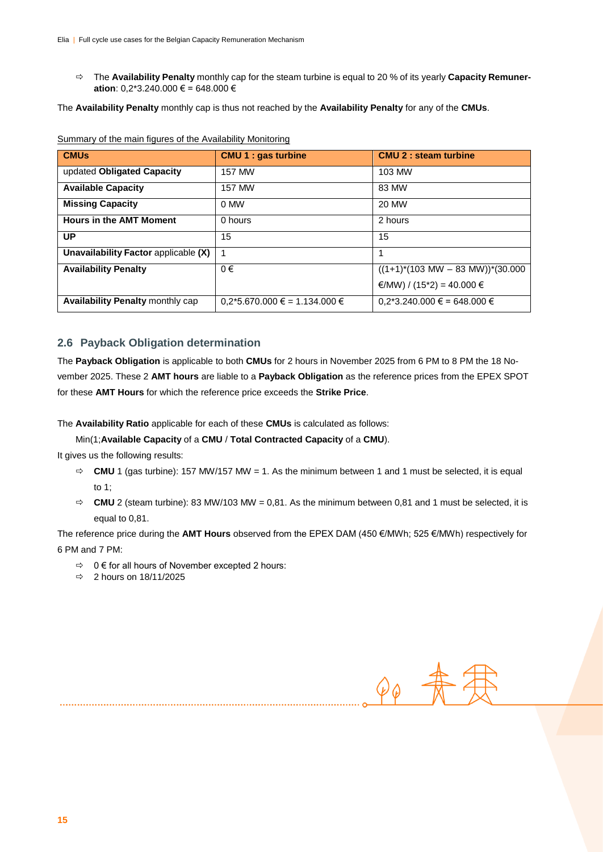The **Availability Penalty** monthly cap for the steam turbine is equal to 20 % of its yearly **Capacity Remuneration**: 0,2\*3.240.000 € = 648.000 €

The **Availability Penalty** monthly cap is thus not reached by the **Availability Penalty** for any of the **CMUs**.

| <b>CMUs</b>                          | <b>CMU 1 : gas turbine</b>        | <b>CMU 2 : steam turbine</b>                         |
|--------------------------------------|-----------------------------------|------------------------------------------------------|
| updated Obligated Capacity           | <b>157 MW</b>                     | 103 MW                                               |
| <b>Available Capacity</b>            | <b>157 MW</b>                     | 83 MW                                                |
| <b>Missing Capacity</b>              | 0 MW                              | <b>20 MW</b>                                         |
| <b>Hours in the AMT Moment</b>       | 0 hours                           | 2 hours                                              |
| UP                                   | 15                                | 15                                                   |
| Unavailability Factor applicable (X) | 1                                 |                                                      |
| <b>Availability Penalty</b>          | $0 \in$                           | $((1+1)^*(103 \text{ MW} - 83 \text{ MW}))^*(30.000$ |
|                                      |                                   | €/MW) / (15*2) = 40.000 €                            |
| Availability Penalty monthly cap     | $0.2*5.670.000 \in 1.134.000 \in$ | $0,2*3.240.000 \in 648.000 \in$                      |

| Summary of the main figures of the Availability Monitoring |
|------------------------------------------------------------|
|------------------------------------------------------------|

#### **2.6 Payback Obligation determination**

The **Payback Obligation** is applicable to both **CMUs** for 2 hours in November 2025 from 6 PM to 8 PM the 18 November 2025. These 2 **AMT hours** are liable to a **Payback Obligation** as the reference prices from the EPEX SPOT for these **AMT Hours** for which the reference price exceeds the **Strike Price**.

The **Availability Ratio** applicable for each of these **CMUs** is calculated as follows:

Min(1;**Available Capacity** of a **CMU** / **Total Contracted Capacity** of a **CMU**).

It gives us the following results:

- $\Rightarrow$  **CMU** 1 (gas turbine): 157 MW/157 MW = 1. As the minimum between 1 and 1 must be selected, it is equal to 1;
- $\Rightarrow$  **CMU** 2 (steam turbine): 83 MW/103 MW = 0,81. As the minimum between 0,81 and 1 must be selected, it is equal to 0,81.

The reference price during the **AMT Hours** observed from the EPEX DAM (450 €/MWh; 525 €/MWh) respectively for 6 PM and 7 PM:

- $\Rightarrow$  0 € for all hours of November excepted 2 hours:
- $\Rightarrow$  2 hours on 18/11/2025

 $\varphi_{\varphi}$  -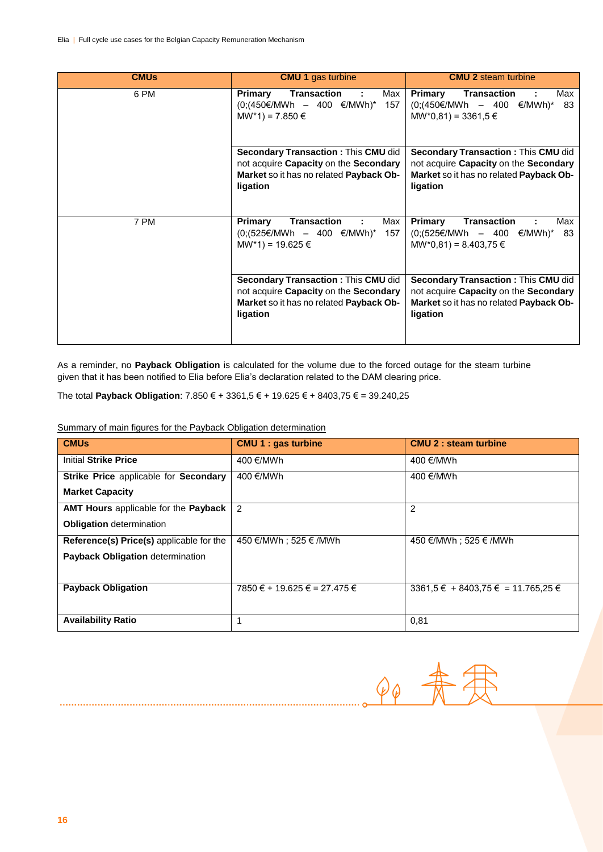| <b>CMUs</b> | <b>CMU 1 gas turbine</b>                                                                                                                   | <b>CMU 2 steam turbine</b>                                                                                                                 |
|-------------|--------------------------------------------------------------------------------------------------------------------------------------------|--------------------------------------------------------------------------------------------------------------------------------------------|
| 6 PM        | Transaction<br>Primary<br>Max<br>$(0;(450€/MWh - 400 €/MWh)* 157$<br>$MW*1) = 7.850 \in$                                                   | Max<br>Primary<br>Transaction<br>$(0;(450€/MWh - 400 €/MWh)*$<br>83<br>$MW*0,81) = 3361,5 \in$                                             |
|             | <b>Secondary Transaction: This CMU did</b><br>not acquire Capacity on the Secondary<br>Market so it has no related Payback Ob-<br>ligation | <b>Secondary Transaction: This CMU did</b><br>not acquire Capacity on the Secondary<br>Market so it has no related Payback Ob-<br>ligation |
| 7 PM        | <b>Transaction</b><br>Primary<br>Max<br>÷<br>$(0;(525€/MWh - 400 €/MWh)*$<br>157<br>MW*1) = 19.625 €                                       | <b>Transaction</b><br>Primary<br>Max<br>83<br>$(0;(525€/MWh - 400 €/MWh)*$<br>$MW*0,81) = 8.403,75 \in$                                    |
|             | Secondary Transaction : This CMU did<br>not acquire Capacity on the Secondary<br>Market so it has no related Payback Ob-<br>ligation       | Secondary Transaction: This CMU did<br>not acquire Capacity on the Secondary<br>Market so it has no related Payback Ob-<br>ligation        |

As a reminder, no **Payback Obligation** is calculated for the volume due to the forced outage for the steam turbine given that it has been notified to Elia before Elia's declaration related to the DAM clearing price.

The total **Payback Obligation**: 7.850 € + 3361,5 € + 19.625 € + 8403,75 € = 39.240,25

Summary of main figures for the Payback Obligation determination

| <b>CMUs</b>                                     | <b>CMU 1 : gas turbine</b>   | <b>CMU 2 : steam turbine</b>              |
|-------------------------------------------------|------------------------------|-------------------------------------------|
| <b>Initial Strike Price</b>                     | 400 €/MWh                    | 400 €/MWh                                 |
| Strike Price applicable for Secondary           | 400 €/MWh                    | 400 €/MWh                                 |
| <b>Market Capacity</b>                          |                              |                                           |
| AMT Hours applicable for the Payback            | $\overline{2}$               | $\overline{2}$                            |
| <b>Obligation</b> determination                 |                              |                                           |
| <b>Reference(s) Price(s)</b> applicable for the | 450 €/MWh : 525 € /MWh       | 450 €/MWh : 525 € /MWh                    |
| Payback Obligation determination                |                              |                                           |
|                                                 |                              |                                           |
| <b>Payback Obligation</b>                       | 7850 € + 19.625 € = 27.475 € | $3361.5 \in +8403.75 \in = 11.765.25 \in$ |
|                                                 |                              |                                           |
| <b>Availability Ratio</b>                       |                              | 0,81                                      |

 $\varphi_{\varphi}$  -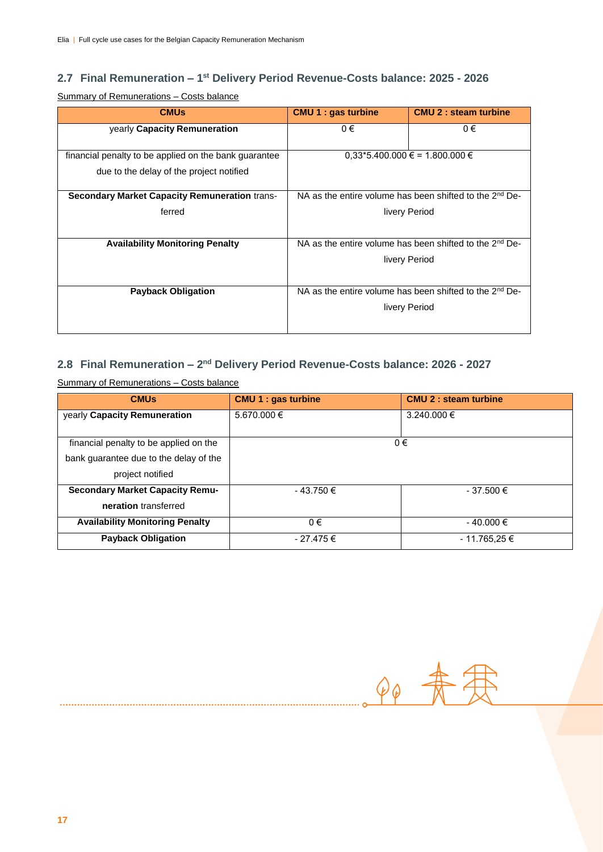#### **2.7 Final Remuneration – 1 st Delivery Period Revenue-Costs balance: 2025 - 2026**

Summary of Remunerations – Costs balance

| <b>CMUs</b>                                           | <b>CMU 1 : gas turbine</b> | <b>CMU 2 : steam turbine</b>                                        |  |
|-------------------------------------------------------|----------------------------|---------------------------------------------------------------------|--|
| yearly Capacity Remuneration                          | $0 \in$                    | $0 \in$                                                             |  |
|                                                       |                            |                                                                     |  |
| financial penalty to be applied on the bank guarantee |                            | $0.33*5.400.000 \in 1.800.000 \in$                                  |  |
| due to the delay of the project notified              |                            |                                                                     |  |
|                                                       |                            |                                                                     |  |
| <b>Secondary Market Capacity Remuneration trans-</b>  |                            | NA as the entire volume has been shifted to the 2 <sup>nd</sup> De- |  |
| ferred                                                | livery Period              |                                                                     |  |
|                                                       |                            |                                                                     |  |
|                                                       |                            |                                                                     |  |
| <b>Availability Monitoring Penalty</b>                |                            | NA as the entire volume has been shifted to the 2 <sup>nd</sup> De- |  |
|                                                       |                            | livery Period                                                       |  |
|                                                       |                            |                                                                     |  |
| <b>Payback Obligation</b>                             |                            | NA as the entire volume has been shifted to the 2 <sup>nd</sup> De- |  |
|                                                       |                            |                                                                     |  |
|                                                       |                            | livery Period                                                       |  |
|                                                       |                            |                                                                     |  |
|                                                       |                            |                                                                     |  |

#### 2.8 Final Remuneration - 2<sup>nd</sup> Delivery Period Revenue-Costs balance: 2026 - 2027

Summary of Remunerations – Costs balance

| <b>CMUs</b>                            | <b>CMU 1 : gas turbine</b> | <b>CMU 2: steam turbine</b> |  |
|----------------------------------------|----------------------------|-----------------------------|--|
| yearly Capacity Remuneration           | 5.670.000 €                | 3.240.000 €                 |  |
| financial penalty to be applied on the |                            | 0€                          |  |
| bank guarantee due to the delay of the |                            |                             |  |
| project notified                       |                            |                             |  |
| <b>Secondary Market Capacity Remu-</b> | $-43.750 \in$              | $-37.500 \in$               |  |
| neration transferred                   |                            |                             |  |
| <b>Availability Monitoring Penalty</b> | $0 \in$                    | $-40.000 \in$               |  |
| <b>Payback Obligation</b>              | - 27.475 €                 | - 11.765,25 €               |  |

 $60 -$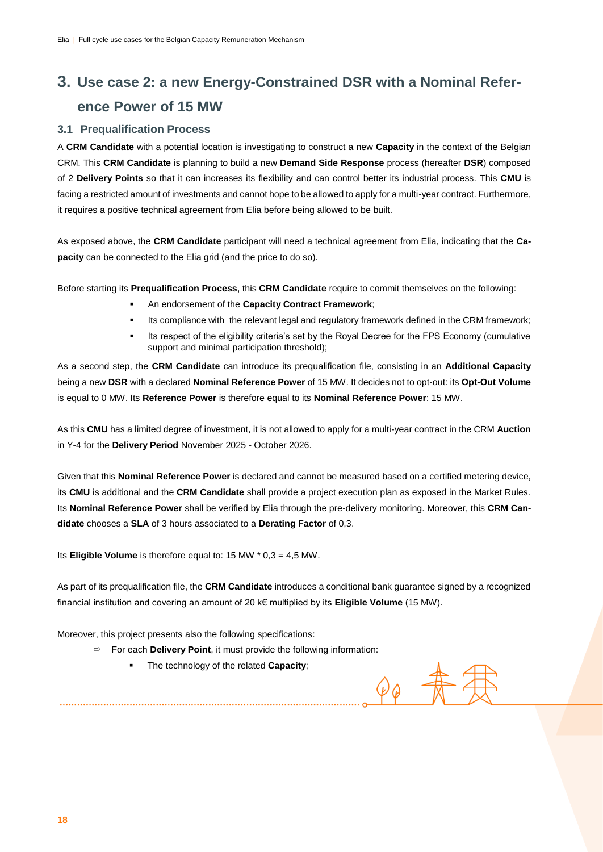## **3. Use case 2: a new Energy-Constrained DSR with a Nominal Reference Power of 15 MW**

#### **3.1 Prequalification Process**

A **CRM Candidate** with a potential location is investigating to construct a new **Capacity** in the context of the Belgian CRM. This **CRM Candidate** is planning to build a new **Demand Side Response** process (hereafter **DSR**) composed of 2 **Delivery Points** so that it can increases its flexibility and can control better its industrial process. This **CMU** is facing a restricted amount of investments and cannot hope to be allowed to apply for a multi-year contract. Furthermore, it requires a positive technical agreement from Elia before being allowed to be built.

As exposed above, the **CRM Candidate** participant will need a technical agreement from Elia, indicating that the **Capacity** can be connected to the Elia grid (and the price to do so).

Before starting its **Prequalification Process**, this **CRM Candidate** require to commit themselves on the following:

- An endorsement of the **Capacity Contract Framework**;
- Its compliance with the relevant legal and regulatory framework defined in the CRM framework;
- Its respect of the eligibility criteria's set by the Royal Decree for the FPS Economy (cumulative support and minimal participation threshold);

As a second step, the **CRM Candidate** can introduce its prequalification file, consisting in an **Additional Capacity** being a new **DSR** with a declared **Nominal Reference Power** of 15 MW. It decides not to opt-out: its **Opt-Out Volume** is equal to 0 MW. Its **Reference Power** is therefore equal to its **Nominal Reference Power**: 15 MW.

As this **CMU** has a limited degree of investment, it is not allowed to apply for a multi-year contract in the CRM **Auction** in Y-4 for the **Delivery Period** November 2025 - October 2026.

Given that this **Nominal Reference Power** is declared and cannot be measured based on a certified metering device, its **CMU** is additional and the **CRM Candidate** shall provide a project execution plan as exposed in the Market Rules. Its **Nominal Reference Power** shall be verified by Elia through the pre-delivery monitoring. Moreover, this **CRM Candidate** chooses a **SLA** of 3 hours associated to a **Derating Factor** of 0,3.

Its **Eligible Volume** is therefore equal to: 15 MW \* 0,3 = 4,5 MW.

As part of its prequalification file, the **CRM Candidate** introduces a conditional bank guarantee signed by a recognized financial institution and covering an amount of 20 k€ multiplied by its **Eligible Volume** (15 MW).

 $\mathcal{D} \varphi$ 

Moreover, this project presents also the following specifications:

- $\Rightarrow$  For each **Delivery Point**, it must provide the following information:
	- The technology of the related **Capacity**;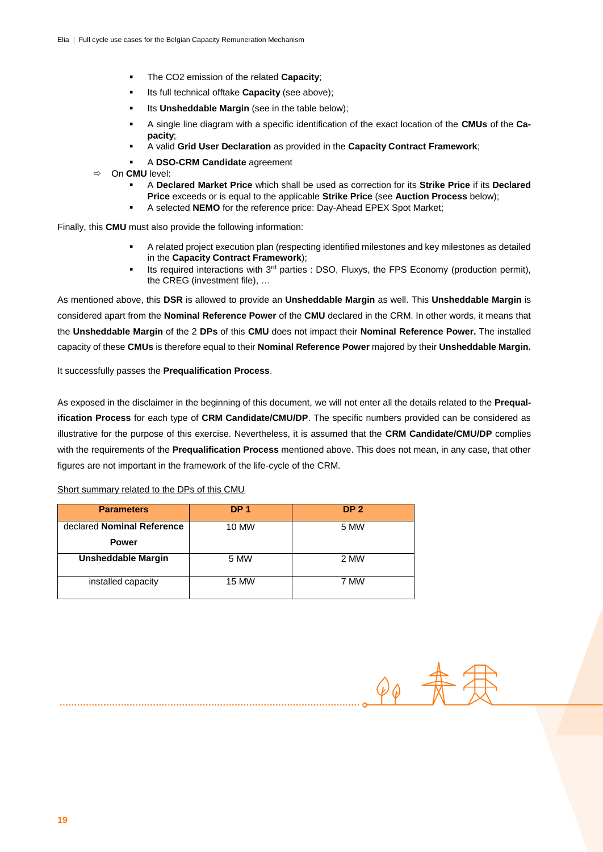- The CO2 emission of the related **Capacity**;
- Its full technical offtake **Capacity** (see above);
- Its **Unsheddable Margin** (see in the table below);
- A single line diagram with a specific identification of the exact location of the **CMUs** of the **Capacity**;
- A valid **Grid User Declaration** as provided in the **Capacity Contract Framework**;
- A **DSO-CRM Candidate** agreement
- On **CMU** level:
	- A **Declared Market Price** which shall be used as correction for its **Strike Price** if its **Declared Price** exceeds or is equal to the applicable **Strike Price** (see **Auction Process** below);
	- A selected **NEMO** for the reference price: Day-Ahead EPEX Spot Market;

Finally, this **CMU** must also provide the following information:

- A related project execution plan (respecting identified milestones and key milestones as detailed in the **Capacity Contract Framework**);
- Its required interactions with  $3<sup>rd</sup>$  parties : DSO, Fluxys, the FPS Economy (production permit), the CREG (investment file), …

As mentioned above, this **DSR** is allowed to provide an **Unsheddable Margin** as well. This **Unsheddable Margin** is considered apart from the **Nominal Reference Power** of the **CMU** declared in the CRM. In other words, it means that the **Unsheddable Margin** of the 2 **DPs** of this **CMU** does not impact their **Nominal Reference Power.** The installed capacity of these **CMUs** is therefore equal to their **Nominal Reference Power** majored by their **Unsheddable Margin.** 

It successfully passes the **Prequalification Process**.

As exposed in the disclaimer in the beginning of this document, we will not enter all the details related to the **Prequalification Process** for each type of **CRM Candidate/CMU/DP**. The specific numbers provided can be considered as illustrative for the purpose of this exercise. Nevertheless, it is assumed that the **CRM Candidate/CMU/DP** complies with the requirements of the **Prequalification Process** mentioned above. This does not mean, in any case, that other figures are not important in the framework of the life-cycle of the CRM.

| <b>Parameters</b>          | DP <sub>1</sub> | DP <sub>2</sub> |
|----------------------------|-----------------|-----------------|
| declared Nominal Reference | 10 MW           | 5 MW            |
| <b>Power</b>               |                 |                 |
| <b>Unsheddable Margin</b>  | 5 MW            | 2 MW            |
| installed capacity         | <b>15 MW</b>    | 7 MW            |

#### Short summary related to the DPs of this CMU

 $\mathcal{O}_\mathcal{Q}$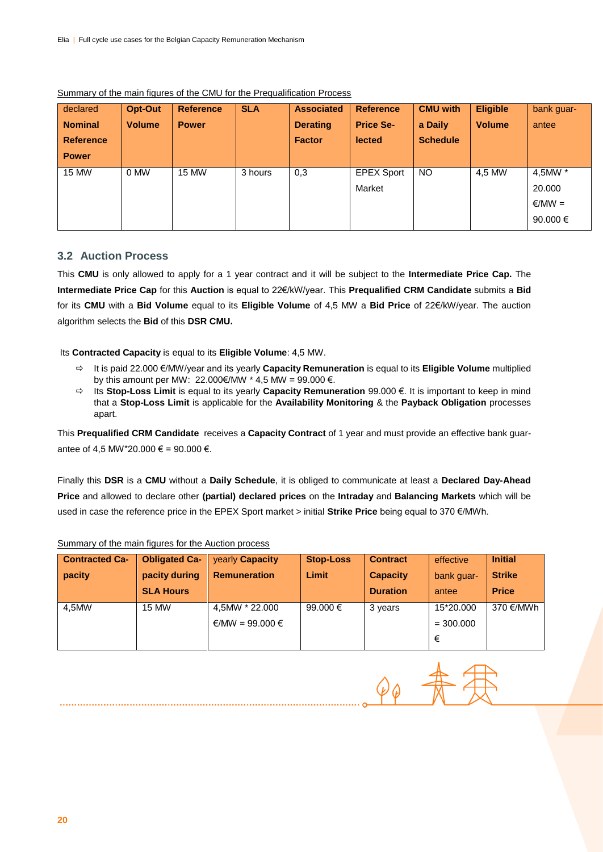| declared         | Opt-Out       | <b>Reference</b> | <b>SLA</b> | <b>Associated</b> | <b>Reference</b>  | <b>CMU with</b> | <b>Eligible</b> | bank guar-   |
|------------------|---------------|------------------|------------|-------------------|-------------------|-----------------|-----------------|--------------|
| <b>Nominal</b>   | <b>Volume</b> | <b>Power</b>     |            | <b>Derating</b>   | <b>Price Se-</b>  | a Daily         | <b>Volume</b>   | antee        |
| <b>Reference</b> |               |                  |            | <b>Factor</b>     | <b>lected</b>     | <b>Schedule</b> |                 |              |
| <b>Power</b>     |               |                  |            |                   |                   |                 |                 |              |
| <b>15 MW</b>     | 0 MW          | 15 MW            | 3 hours    | 0,3               | <b>EPEX Sport</b> | <b>NO</b>       | 4.5 MW          | 4,5MW *      |
|                  |               |                  |            |                   | Market            |                 |                 | 20,000       |
|                  |               |                  |            |                   |                   |                 |                 | $∈/MW =$     |
|                  |               |                  |            |                   |                   |                 |                 | 90.000 $\in$ |

#### Summary of the main figures of the CMU for the Prequalification Process

#### **3.2 Auction Process**

This **CMU** is only allowed to apply for a 1 year contract and it will be subject to the **Intermediate Price Cap.** The **Intermediate Price Cap** for this **Auction** is equal to 22€/kW/year. This **Prequalified CRM Candidate** submits a **Bid** for its **CMU** with a **Bid Volume** equal to its **Eligible Volume** of 4,5 MW a **Bid Price** of 22€/kW/year. The auction algorithm selects the **Bid** of this **DSR CMU.**

Its **Contracted Capacity** is equal to its **Eligible Volume**: 4,5 MW.

- It is paid 22.000 €/MW/year and its yearly **Capacity Remuneration** is equal to its **Eligible Volume** multiplied by this amount per MW: 22.000€/MW \* 4,5 MW = 99.000 €.
- Its **Stop-Loss Limit** is equal to its yearly **Capacity Remuneration** 99.000 €. It is important to keep in mind that a **Stop-Loss Limit** is applicable for the **Availability Monitoring** & the **Payback Obligation** processes apart.

This **Prequalified CRM Candidate** receives a **Capacity Contract** of 1 year and must provide an effective bank guarantee of 4,5 MW\*20.000 € = 90.000 €.

Finally this **DSR** is a **CMU** without a **Daily Schedule**, it is obliged to communicate at least a **Declared Day-Ahead Price** and allowed to declare other **(partial) declared prices** on the **Intraday** and **Balancing Markets** which will be used in case the reference price in the EPEX Sport market > initial **Strike Price** being equal to 370 €/MWh.

| <b>Contracted Ca-</b> | <b>Obligated Ca-</b> | <b>vearly Capacity</b> | <b>Stop-Loss</b> | <b>Contract</b> | effective   | <b>Initial</b> |
|-----------------------|----------------------|------------------------|------------------|-----------------|-------------|----------------|
| pacity                | pacity during        | <b>Remuneration</b>    | Limit            | <b>Capacity</b> | bank quar-  | <b>Strike</b>  |
|                       | <b>SLA Hours</b>     |                        |                  | <b>Duration</b> | antee       | <b>Price</b>   |
| 4.5MW                 | <b>15 MW</b>         | 4,5MW * 22.000         | 99.000 $\in$     | 3 years         | 15*20.000   | 370 €/MWh      |
|                       |                      | €/MW = 99.000 €        |                  |                 | $= 300,000$ |                |
|                       |                      |                        |                  |                 | €           |                |

#### Summary of the main figures for the Auction process

 $\varphi_{\varphi}$  #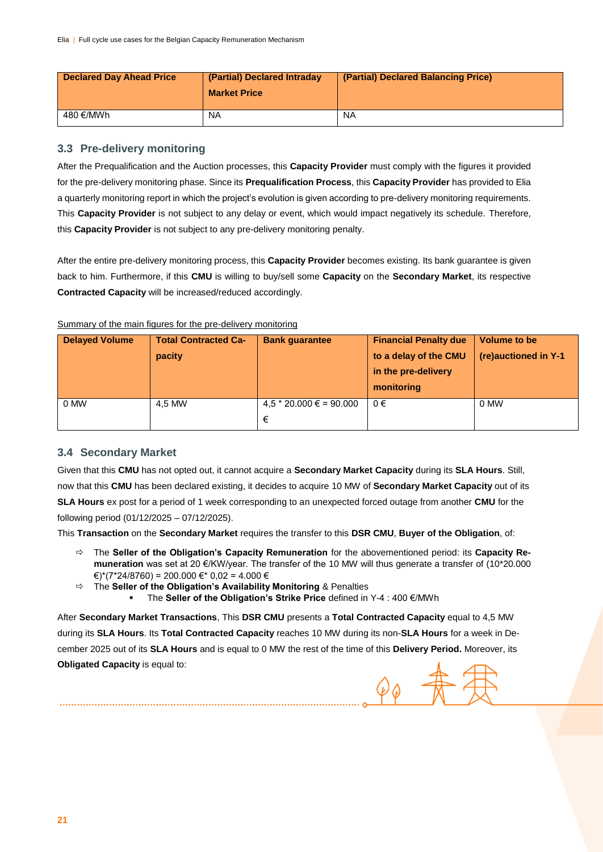| Declared Day Ahead Price | (Partial) Declared Intraday<br><b>Market Price</b> | (Partial) Declared Balancing Price) |
|--------------------------|----------------------------------------------------|-------------------------------------|
| 480 €/MWh                | NA.                                                | <b>NA</b>                           |

#### **3.3 Pre-delivery monitoring**

After the Prequalification and the Auction processes, this **Capacity Provider** must comply with the figures it provided for the pre-delivery monitoring phase. Since its **Prequalification Process**, this **Capacity Provider** has provided to Elia a quarterly monitoring report in which the project's evolution is given according to pre-delivery monitoring requirements. This **Capacity Provider** is not subject to any delay or event, which would impact negatively its schedule. Therefore, this **Capacity Provider** is not subject to any pre-delivery monitoring penalty.

After the entire pre-delivery monitoring process, this **Capacity Provider** becomes existing. Its bank guarantee is given back to him. Furthermore, if this **CMU** is willing to buy/sell some **Capacity** on the **Secondary Market**, its respective **Contracted Capacity** will be increased/reduced accordingly.

#### Summary of the main figures for the pre-delivery monitoring

| <b>Delayed Volume</b> | <b>Total Contracted Ca-</b><br>pacity | <b>Bank guarantee</b>          | <b>Financial Penalty due</b><br>to a delay of the CMU<br>in the pre-delivery<br>monitoring | Volume to be<br>(re)auctioned in Y-1 |
|-----------------------|---------------------------------------|--------------------------------|--------------------------------------------------------------------------------------------|--------------------------------------|
| 0 MW                  | 4.5 MW                                | $4,5 * 20.000 \in 90.000$<br>€ | $0 \in$                                                                                    | 0 MW                                 |

#### **3.4 Secondary Market**

Given that this **CMU** has not opted out, it cannot acquire a **Secondary Market Capacity** during its **SLA Hours**. Still, now that this **CMU** has been declared existing, it decides to acquire 10 MW of **Secondary Market Capacity** out of its **SLA Hours** ex post for a period of 1 week corresponding to an unexpected forced outage from another **CMU** for the following period (01/12/2025 – 07/12/2025).

This **Transaction** on the **Secondary Market** requires the transfer to this **DSR CMU**, **Buyer of the Obligation**, of:

- The **Seller of the Obligation's Capacity Remuneration** for the abovementioned period: its **Capacity Remuneration** was set at 20 €/KW/year. The transfer of the 10 MW will thus generate a transfer of (10\*20.000  $\varepsilon$ <sup>\*</sup>(7\*24/8760) = 200.000 €\* 0,02 = 4.000 €
- The **Seller of the Obligation's Availability Monitoring** & Penalties
	- The **Seller of the Obligation's Strike Price** defined in Y-4 : 400 €/MWh

After **Secondary Market Transactions**, This **DSR CMU** presents a **Total Contracted Capacity** equal to 4,5 MW during its **SLA Hours**. Its **Total Contracted Capacity** reaches 10 MW during its non-**SLA Hours** for a week in December 2025 out of its **SLA Hours** and is equal to 0 MW the rest of the time of this **Delivery Period.** Moreover, its **Obligated Capacity** is equal to: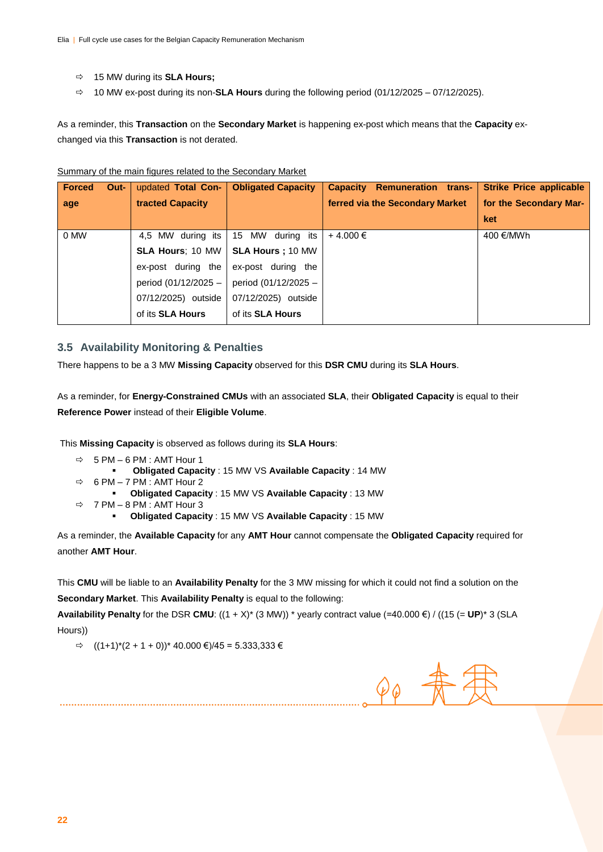- 15 MW during its **SLA Hours;**
- 10 MW ex-post during its non-**SLA Hours** during the following period (01/12/2025 07/12/2025).

As a reminder, this **Transaction** on the **Secondary Market** is happening ex-post which means that the **Capacity** exchanged via this **Transaction** is not derated.

|  |  |  | Summary of the main figures related to the Secondary Market |  |  |
|--|--|--|-------------------------------------------------------------|--|--|
|--|--|--|-------------------------------------------------------------|--|--|

| <b>Forced</b><br>Out- | updated Total Con-      | <b>Obligated Capacity</b> | <b>Capacity Remuneration trans-</b> | <b>Strike Price applicable</b> |
|-----------------------|-------------------------|---------------------------|-------------------------------------|--------------------------------|
| age                   | tracted Capacity        |                           | ferred via the Secondary Market     | for the Secondary Mar-         |
|                       |                         |                           |                                     | ket                            |
| 0 MW                  | 4.5 MW during its       | during its<br>15 MW       | +4.000 €                            | 400 €/MWh                      |
|                       | <b>SLA Hours: 10 MW</b> | SLA Hours; 10 MW          |                                     |                                |
|                       | ex-post during the      | ex-post during the        |                                     |                                |
|                       | period (01/12/2025 -    | period (01/12/2025 -      |                                     |                                |
|                       | 07/12/2025) outside     | 07/12/2025) outside       |                                     |                                |
|                       | of its <b>SLA Hours</b> | of its <b>SLA Hours</b>   |                                     |                                |

#### **3.5 Availability Monitoring & Penalties**

There happens to be a 3 MW **Missing Capacity** observed for this **DSR CMU** during its **SLA Hours**.

As a reminder, for **Energy-Constrained CMUs** with an associated **SLA**, their **Obligated Capacity** is equal to their **Reference Power** instead of their **Eligible Volume**.

This **Missing Capacity** is observed as follows during its **SLA Hours**:

- $\Rightarrow$  5 PM 6 PM : AMT Hour 1
	- **Obligated Capacity** : 15 MW VS **Available Capacity** : 14 MW
- $\Rightarrow$  6 PM 7 PM : AMT Hour 2
	- **Obligated Capacity** : 15 MW VS **Available Capacity** : 13 MW
- $\Rightarrow$  7 PM 8 PM : AMT Hour 3
	- **Obligated Capacity** : 15 MW VS **Available Capacity** : 15 MW

As a reminder, the **Available Capacity** for any **AMT Hour** cannot compensate the **Obligated Capacity** required for another **AMT Hour**.

This **CMU** will be liable to an **Availability Penalty** for the 3 MW missing for which it could not find a solution on the **Secondary Market**. This **Availability Penalty** is equal to the following:

**Availability Penalty** for the DSR **CMU**:  $((1 + X)^*$  (3 MW)) \* yearly contract value  $(=40.000 \text{ } \textcircled{\textsf{F}})$  /  $((15 (= \text{UP})^* 3 \text{ (SLA)})$ Hours))

 $\Rightarrow$  ((1+1)\*(2 + 1 + 0))\* 40.000 €)/45 = 5.333,333 €

 $\varphi_{\varphi}$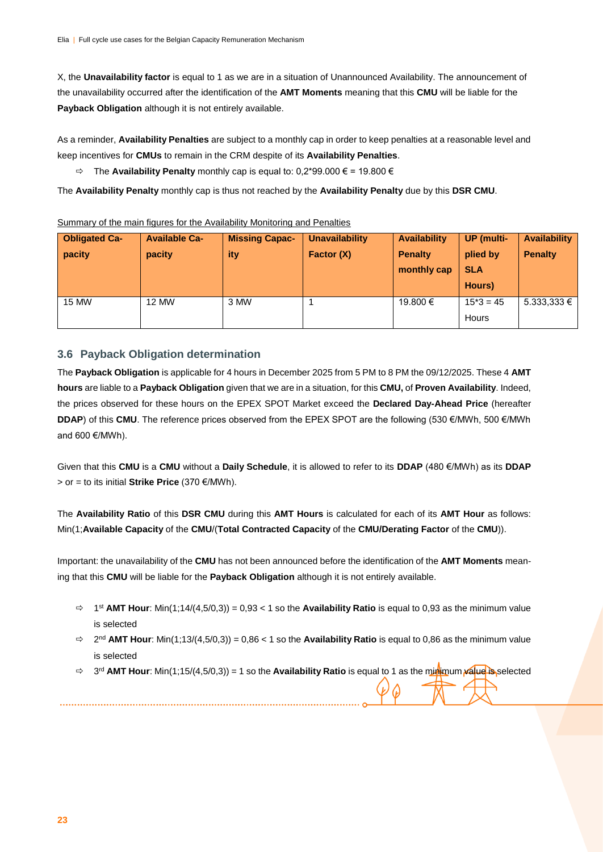X, the **Unavailability factor** is equal to 1 as we are in a situation of Unannounced Availability. The announcement of the unavailability occurred after the identification of the **AMT Moments** meaning that this **CMU** will be liable for the **Payback Obligation** although it is not entirely available.

As a reminder, **Availability Penalties** are subject to a monthly cap in order to keep penalties at a reasonable level and keep incentives for **CMUs** to remain in the CRM despite of its **Availability Penalties**.

The **Availability Penalty** monthly cap is equal to: 0,2\*99.000 € = 19.800 €

The **Availability Penalty** monthly cap is thus not reached by the **Availability Penalty** due by this **DSR CMU**.

| <b>Obligated Ca-</b> | <b>Available Ca-</b> | <b>Missing Capac-</b> | <b>Unavailability</b> | <b>Availability</b> | <b>UP</b> (multi- | <b>Availability</b> |
|----------------------|----------------------|-----------------------|-----------------------|---------------------|-------------------|---------------------|
| pacity               | pacity               | ity                   | Factor (X)            | <b>Penalty</b>      | plied by          | <b>Penalty</b>      |
|                      |                      |                       |                       | monthly cap         | <b>SLA</b>        |                     |
|                      |                      |                       |                       |                     | Hours)            |                     |
|                      |                      |                       |                       |                     |                   |                     |
| 15 MW                | 12 MW                | 3 MW                  |                       | 19.800 €            | $15*3 = 45$       | $5.333.333 \in$     |

#### Summary of the main figures for the Availability Monitoring and Penalties

#### **3.6 Payback Obligation determination**

The **Payback Obligation** is applicable for 4 hours in December 2025 from 5 PM to 8 PM the 09/12/2025. These 4 **AMT hours** are liable to a **Payback Obligation** given that we are in a situation, for this **CMU,** of **Proven Availability**. Indeed, the prices observed for these hours on the EPEX SPOT Market exceed the **Declared Day-Ahead Price** (hereafter **DDAP**) of this **CMU**. The reference prices observed from the EPEX SPOT are the following (530 €/MWh, 500 €/MWh and 600 €/MWh).

Given that this **CMU** is a **CMU** without a **Daily Schedule**, it is allowed to refer to its **DDAP** (480 €/MWh) as its **DDAP** > or = to its initial **Strike Price** (370 €/MWh).

The **Availability Ratio** of this **DSR CMU** during this **AMT Hours** is calculated for each of its **AMT Hour** as follows: Min(1;**Available Capacity** of the **CMU**/(**Total Contracted Capacity** of the **CMU/Derating Factor** of the **CMU**)).

Important: the unavailability of the **CMU** has not been announced before the identification of the **AMT Moments** meaning that this **CMU** will be liable for the **Payback Obligation** although it is not entirely available.

- $\Rightarrow$  1<sup>st</sup> **AMT Hour**: Min(1;14/(4,5/0,3)) = 0,93 < 1 so the **Availability Ratio** is equal to 0,93 as the minimum value is selected
- $\Rightarrow$  2<sup>nd</sup> **AMT Hour**: Min(1;13/(4,5/0,3)) = 0,86 < 1 so the **Availability Ratio** is equal to 0,86 as the minimum value is selected
- $\Rightarrow$  3<sup>rd</sup> **AMT Hour**: Min(1;15/(4,5/0,3)) = 1 so the **Availability Ratio** is equal to 1 as the minimum **value is** selected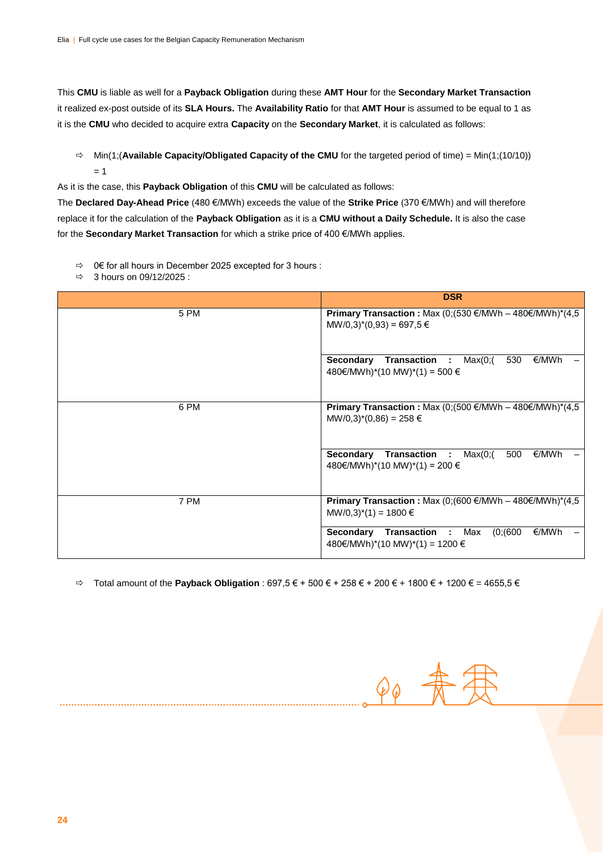This **CMU** is liable as well for a **Payback Obligation** during these **AMT Hour** for the **Secondary Market Transaction** it realized ex-post outside of its **SLA Hours.** The **Availability Ratio** for that **AMT Hour** is assumed to be equal to 1 as it is the **CMU** who decided to acquire extra **Capacity** on the **Secondary Market**, it is calculated as follows:

 $\Rightarrow$  Min(1;(**Available Capacity/Obligated Capacity of the CMU** for the targeted period of time) = Min(1;(10/10))  $= 1$ 

As it is the case, this **Payback Obligation** of this **CMU** will be calculated as follows:

The **Declared Day-Ahead Price** (480 €/MWh) exceeds the value of the **Strike Price** (370 €/MWh) and will therefore replace it for the calculation of the **Payback Obligation** as it is a **CMU without a Daily Schedule.** It is also the case for the **Secondary Market Transaction** for which a strike price of 400 €/MWh applies.

 $\Rightarrow$  0€ for all hours in December 2025 excepted for 3 hours :

 $\Rightarrow$  3 hours on 09/12/2025 :

|      | <b>DSR</b>                                                                                                                    |
|------|-------------------------------------------------------------------------------------------------------------------------------|
| 5 PM | <b>Primary Transaction : Max (0;(530 €/MWh - 480€/MWh)*(4,5</b><br>$MW/0,3)$ <sup>*</sup> $(0,93) = 697,5 \in$                |
|      | <b>Secondary Transaction : Max(0;(</b><br>530<br>€/MWh<br>480€/MWh)*(10 MW)*(1) = 500 €                                       |
| 6 PM | <b>Primary Transaction :</b> Max (0;(500 €/MWh – 480€/MWh)*(4,5<br>$MW/0,3$ <sup>*</sup> $(0,86) = 258 \in$                   |
|      | Secondary Transaction :<br>Max(0;(<br>€/MWh<br>500<br>480€/MWh)*(10 MW)*(1) = 200 €                                           |
| 7 PM | <b>Primary Transaction : Max (0;(600 €/MWh - 480€/MWh)*(4,5</b><br>$MW/0,3$ <sup>*</sup> (1) = 1800 $\in$                     |
|      | (0; (600)<br><b>Secondary Transaction : Max</b><br>€/MWh<br>$480 \text{€}/MWh$ <sup>*</sup> (10 MW) <sup>*</sup> (1) = 1200 € |

Total amount of the **Payback Obligation** : 697,5 € + 500 € + 258 € + 200 € + 1800 € + 1200 € = 4655,5 €

 $\varphi_{\varphi}$  -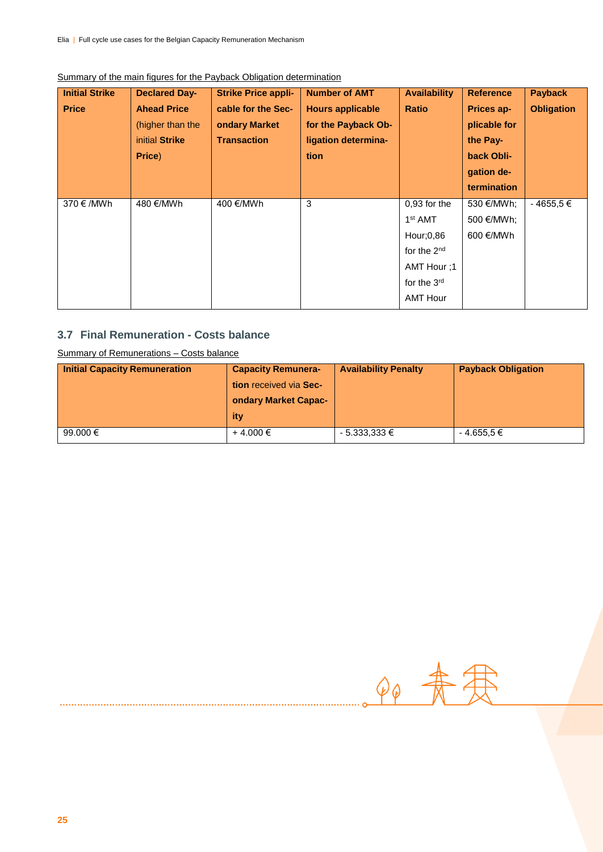| <b>Initial Strike</b> | <b>Declared Day-</b> | <b>Strike Price appli-</b> | <b>Number of AMT</b>    | <b>Availability</b> | <b>Reference</b> | <b>Payback</b>    |
|-----------------------|----------------------|----------------------------|-------------------------|---------------------|------------------|-------------------|
| <b>Price</b>          | <b>Ahead Price</b>   | cable for the Sec-         | <b>Hours applicable</b> | <b>Ratio</b>        | Prices ap-       | <b>Obligation</b> |
|                       | (higher than the     | ondary Market              | for the Payback Ob-     |                     | plicable for     |                   |
|                       | initial Strike       | <b>Transaction</b>         | ligation determina-     |                     | the Pay-         |                   |
|                       | Price)               |                            | tion                    |                     | back Obli-       |                   |
|                       |                      |                            |                         |                     | gation de-       |                   |
|                       |                      |                            |                         |                     | termination      |                   |
| 370 €/MWh             | 480 €/MWh            | 400 €/MWh                  | 3                       | $0.93$ for the      | 530 €/MWh;       | $-4655.5 \in$     |
|                       |                      |                            |                         | 1 <sup>st</sup> AMT | 500 €/MWh;       |                   |
|                       |                      |                            |                         | Hour;0,86           | 600 €/MWh        |                   |
|                       |                      |                            |                         | for the $2nd$       |                  |                   |
|                       |                      |                            |                         | AMT Hour ;1         |                  |                   |
|                       |                      |                            |                         | for the $3rd$       |                  |                   |
|                       |                      |                            |                         | <b>AMT Hour</b>     |                  |                   |

#### Summary of the main figures for the Payback Obligation determination

### **3.7 Final Remuneration - Costs balance**

Summary of Remunerations – Costs balance

| <b>Initial Capacity Remuneration</b> | <b>Capacity Remunera-</b> | <b>Availability Penalty</b> | <b>Payback Obligation</b> |
|--------------------------------------|---------------------------|-----------------------------|---------------------------|
|                                      | tion received via Sec-    |                             |                           |
|                                      | ondary Market Capac-      |                             |                           |
|                                      | ity                       |                             |                           |
| 99.000 $\epsilon$                    | +4.000 €                  | $-5.333,333 \in$            | $-4.655,5 \in$            |

 $90 + 77$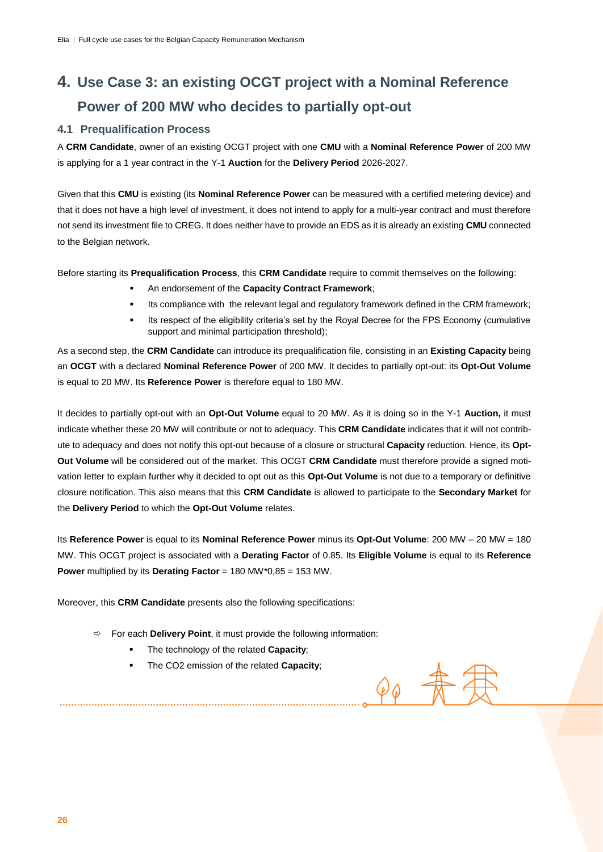# **4. Use Case 3: an existing OCGT project with a Nominal Reference Power of 200 MW who decides to partially opt-out**

#### **4.1 Prequalification Process**

A **CRM Candidate**, owner of an existing OCGT project with one **CMU** with a **Nominal Reference Power** of 200 MW is applying for a 1 year contract in the Y-1 **Auction** for the **Delivery Period** 2026-2027.

Given that this **CMU** is existing (its **Nominal Reference Power** can be measured with a certified metering device) and that it does not have a high level of investment, it does not intend to apply for a multi-year contract and must therefore not send its investment file to CREG. It does neither have to provide an EDS as it is already an existing **CMU** connected to the Belgian network.

Before starting its **Prequalification Process**, this **CRM Candidate** require to commit themselves on the following:

- An endorsement of the **Capacity Contract Framework**;
- Its compliance with the relevant legal and regulatory framework defined in the CRM framework;
- Its respect of the eligibility criteria's set by the Royal Decree for the FPS Economy (cumulative support and minimal participation threshold);

As a second step, the **CRM Candidate** can introduce its prequalification file, consisting in an **Existing Capacity** being an **OCGT** with a declared **Nominal Reference Power** of 200 MW. It decides to partially opt-out: its **Opt-Out Volume** is equal to 20 MW. Its **Reference Power** is therefore equal to 180 MW.

It decides to partially opt-out with an **Opt-Out Volume** equal to 20 MW. As it is doing so in the Y-1 **Auction,** it must indicate whether these 20 MW will contribute or not to adequacy. This **CRM Candidate** indicates that it will not contribute to adequacy and does not notify this opt-out because of a closure or structural **Capacity** reduction. Hence, its **Opt-Out Volume** will be considered out of the market. This OCGT **CRM Candidate** must therefore provide a signed motivation letter to explain further why it decided to opt out as this **Opt-Out Volume** is not due to a temporary or definitive closure notification. This also means that this **CRM Candidate** is allowed to participate to the **Secondary Market** for the **Delivery Period** to which the **Opt-Out Volume** relates.

Its **Reference Power** is equal to its **Nominal Reference Power** minus its **Opt-Out Volume**: 200 MW – 20 MW = 180 MW. This OCGT project is associated with a **Derating Factor** of 0.85. Its **Eligible Volume** is equal to its **Reference Power** multiplied by its **Derating Factor** = 180 MW\*0,85 = 153 MW.

 $\varphi_{\varphi}$  -

Moreover, this **CRM Candidate** presents also the following specifications:

- $\Rightarrow$  For each **Delivery Point**, it must provide the following information:
	- The technology of the related **Capacity**;
	- **The CO2 emission of the related Capacity;**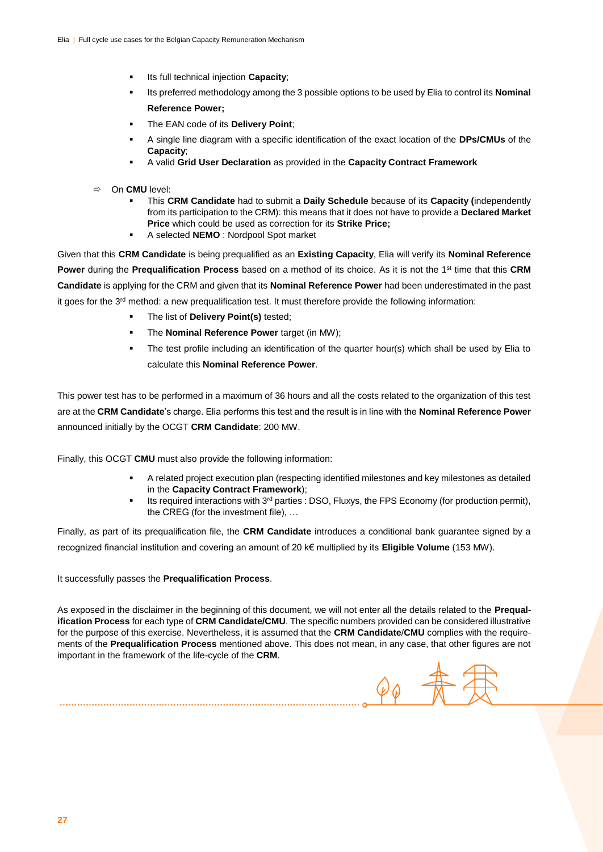- Its full technical injection **Capacity**;
- Its preferred methodology among the 3 possible options to be used by Elia to control its **Nominal Reference Power;**
- The EAN code of its **Delivery Point**;
- A single line diagram with a specific identification of the exact location of the **DPs/CMUs** of the **Capacity**;
- A valid **Grid User Declaration** as provided in the **Capacity Contract Framework**
- On **CMU** level:
	- This **CRM Candidate** had to submit a **Daily Schedule** because of its **Capacity (**independently from its participation to the CRM): this means that it does not have to provide a **Declared Market Price** which could be used as correction for its **Strike Price;**
	- A selected **NEMO** : Nordpool Spot market

Given that this **CRM Candidate** is being prequalified as an **Existing Capacity**, Elia will verify its **Nominal Reference Power** during the **Prequalification Process** based on a method of its choice. As it is not the 1<sup>st</sup> time that this CRM **Candidate** is applying for the CRM and given that its **Nominal Reference Power** had been underestimated in the past it goes for the 3rd method: a new prequalification test. It must therefore provide the following information:

- The list of **Delivery Point(s)** tested;
- The **Nominal Reference Power** target (in MW);
- The test profile including an identification of the quarter hour(s) which shall be used by Elia to calculate this **Nominal Reference Power**.

This power test has to be performed in a maximum of 36 hours and all the costs related to the organization of this test are at the **CRM Candidate**'s charge. Elia performs this test and the result is in line with the **Nominal Reference Power** announced initially by the OCGT **CRM Candidate**: 200 MW.

Finally, this OCGT **CMU** must also provide the following information:

- A related project execution plan (respecting identified milestones and key milestones as detailed in the **Capacity Contract Framework**);
- Its required interactions with 3<sup>rd</sup> parties : DSO, Fluxys, the FPS Economy (for production permit), the CREG (for the investment file), …

Finally, as part of its prequalification file, the **CRM Candidate** introduces a conditional bank guarantee signed by a recognized financial institution and covering an amount of 20 k€ multiplied by its **Eligible Volume** (153 MW).

It successfully passes the **Prequalification Process**.

As exposed in the disclaimer in the beginning of this document, we will not enter all the details related to the **Prequalification Process** for each type of **CRM Candidate/CMU**. The specific numbers provided can be considered illustrative for the purpose of this exercise. Nevertheless, it is assumed that the **CRM Candidate**/**CMU** complies with the requirements of the **Prequalification Process** mentioned above. This does not mean, in any case, that other figures are not important in the framework of the life-cycle of the **CRM**.

 $\mathcal{\varphi}_{\bm{\mathrm{\vartheta}}}$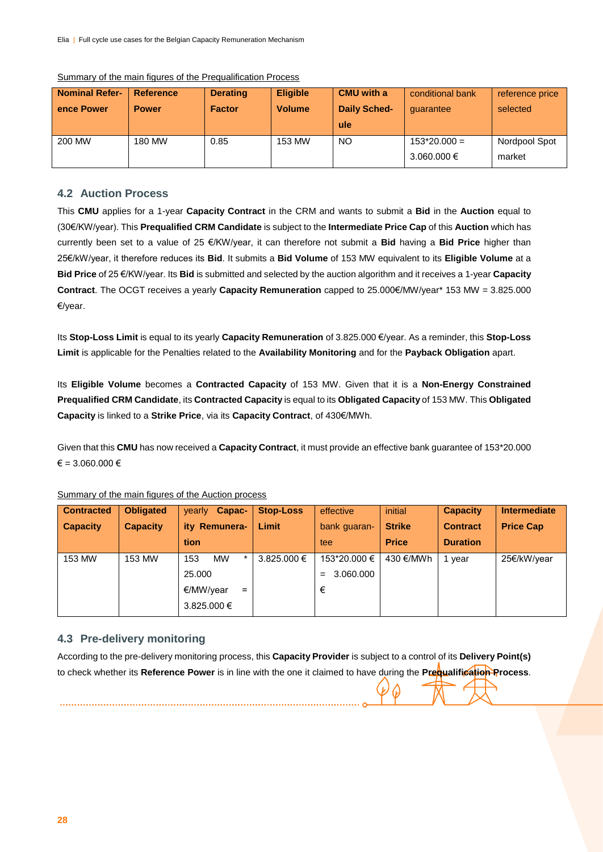| <b>Nominal Refer-</b> | <b>Reference</b> | <b>Derating</b> | <b>Eligible</b> | <b>CMU</b> with a   | conditional bank | reference price |
|-----------------------|------------------|-----------------|-----------------|---------------------|------------------|-----------------|
| ence Power            | <b>Power</b>     | <b>Factor</b>   | <b>Volume</b>   | <b>Daily Sched-</b> | quarantee        | selected        |
|                       |                  |                 |                 | ule                 |                  |                 |
| 200 MW                | 180 MW           | 0.85            | 153 MW          | <b>NO</b>           | $153*20.000 =$   | Nordpool Spot   |
|                       |                  |                 |                 |                     | 3.060.000 €      | market          |

#### Summary of the main figures of the Prequalification Process

#### **4.2 Auction Process**

This **CMU** applies for a 1-year **Capacity Contract** in the CRM and wants to submit a **Bid** in the **Auction** equal to (30€/KW/year). This **Prequalified CRM Candidate** is subject to the **Intermediate Price Cap** of this **Auction** which has currently been set to a value of 25 €/KW/year, it can therefore not submit a **Bid** having a **Bid Price** higher than 25€/kW/year, it therefore reduces its **Bid**. It submits a **Bid Volume** of 153 MW equivalent to its **Eligible Volume** at a **Bid Price** of 25 €/KW/year. Its **Bid** is submitted and selected by the auction algorithm and it receives a 1-year **Capacity Contract**. The OCGT receives a yearly **Capacity Remuneration** capped to 25.000€/MW/year\* 153 MW = 3.825.000 €/year.

Its **Stop-Loss Limit** is equal to its yearly **Capacity Remuneration** of 3.825.000 €/year. As a reminder, this **Stop-Loss Limit** is applicable for the Penalties related to the **Availability Monitoring** and for the **Payback Obligation** apart.

Its **Eligible Volume** becomes a **Contracted Capacity** of 153 MW. Given that it is a **Non-Energy Constrained Prequalified CRM Candidate**, its **Contracted Capacity** is equal to its **Obligated Capacity** of 153 MW. This **Obligated Capacity** is linked to a **Strike Price**, via its **Capacity Contract**, of 430€/MWh.

Given that this **CMU** has now received a **Capacity Contract**, it must provide an effective bank guarantee of 153\*20.000  $\epsilon$  = 3.060.000  $\epsilon$ 

| <b>Contracted</b> | <b>Obligated</b> | Capac-<br>yearly            | <b>Stop-Loss</b> | effective        | initial       | <b>Capacity</b> | <b>Intermediate</b> |
|-------------------|------------------|-----------------------------|------------------|------------------|---------------|-----------------|---------------------|
| <b>Capacity</b>   | <b>Capacity</b>  | ity Remunera-               | Limit            | bank guaran-     | <b>Strike</b> | <b>Contract</b> | <b>Price Cap</b>    |
|                   |                  | tion                        |                  | tee              | <b>Price</b>  | <b>Duration</b> |                     |
| 153 MW            | 153 MW           | <b>MW</b><br>$\star$<br>153 | $3.825.000 \in$  | 153*20.000 €     | 430 €/MWh     | 1 vear          | 25€/kW/year         |
|                   |                  | 25,000                      |                  | 3.060.000<br>$=$ |               |                 |                     |
|                   |                  | €/MW/year<br>$=$            |                  | €                |               |                 |                     |
|                   |                  | 3.825.000 €                 |                  |                  |               |                 |                     |

Summary of the main figures of the Auction process

#### **4.3 Pre-delivery monitoring**

| According to the pre-delivery monitoring process, this Capacity Provider is subject to a control of its Delivery Point(s) |  |
|---------------------------------------------------------------------------------------------------------------------------|--|
| to check whether its Reference Power is in line with the one it claimed to have during the Prequalification Process.      |  |
| 9077                                                                                                                      |  |
|                                                                                                                           |  |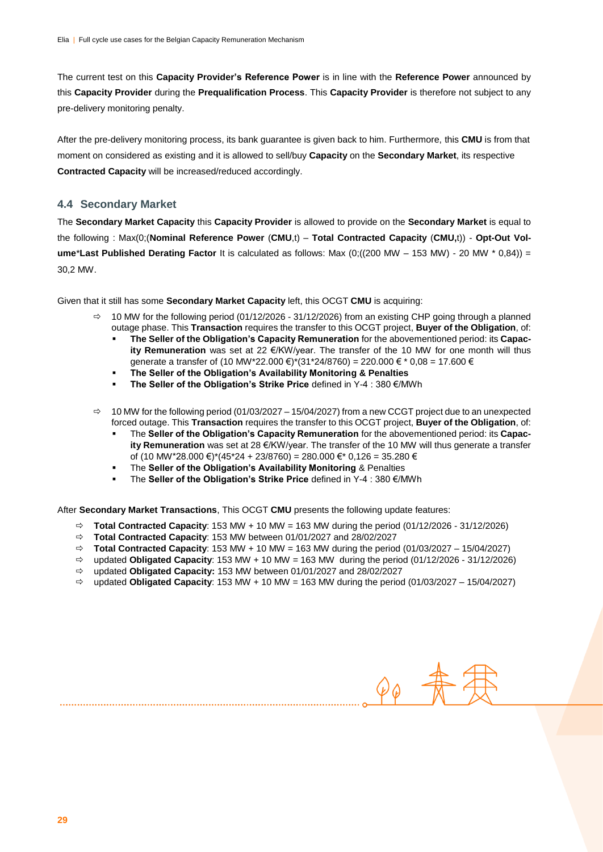The current test on this **Capacity Provider's Reference Power** is in line with the **Reference Power** announced by this **Capacity Provider** during the **Prequalification Process**. This **Capacity Provider** is therefore not subject to any pre-delivery monitoring penalty.

After the pre-delivery monitoring process, its bank guarantee is given back to him. Furthermore, this **CMU** is from that moment on considered as existing and it is allowed to sell/buy **Capacity** on the **Secondary Market**, its respective **Contracted Capacity** will be increased/reduced accordingly.

#### **4.4 Secondary Market**

The **Secondary Market Capacity** this **Capacity Provider** is allowed to provide on the **Secondary Market** is equal to the following : Max(0;(**Nominal Reference Power** (**CMU**,t) – **Total Contracted Capacity** (**CMU,**t)) - **Opt-Out Volume**\***Last Published Derating Factor** It is calculated as follows: Max (0;((200 MW – 153 MW) - 20 MW \* 0,84)) = 30,2 MW.

Given that it still has some **Secondary Market Capacity** left, this OCGT **CMU** is acquiring:

- $\Rightarrow$  10 MW for the following period (01/12/2026 31/12/2026) from an existing CHP going through a planned outage phase. This **Transaction** requires the transfer to this OCGT project, **Buyer of the Obligation**, of:
	- **The Seller of the Obligation's Capacity Remuneration** for the abovementioned period: its **Capacity Remuneration** was set at 22 €/KW/year. The transfer of the 10 MW for one month will thus generate a transfer of (10 MW\*22.000 €)\*(31\*24/8760) = 220.000 € \* 0,08 = 17.600 €
	- **The Seller of the Obligation's Availability Monitoring & Penalties**
	- **The Seller of the Obligation's Strike Price** defined in Y-4 : 380 €/MWh
- $\Rightarrow$  10 MW for the following period (01/03/2027 15/04/2027) from a new CCGT project due to an unexpected forced outage. This **Transaction** requires the transfer to this OCGT project, **Buyer of the Obligation**, of:
	- The **Seller of the Obligation's Capacity Remuneration** for the abovementioned period: its **Capacity Remuneration** was set at 28 €/KW/year. The transfer of the 10 MW will thus generate a transfer of (10 MW\*28.000 €)\*(45\*24 + 23/8760) = 280.000 €\* 0,126 = 35.280 €
	- The **Seller of the Obligation's Availability Monitoring** & Penalties
	- The **Seller of the Obligation's Strike Price** defined in Y-4 : 380 €/MWh

After **Secondary Market Transactions**, This OCGT **CMU** presents the following update features:

- $\Rightarrow$  **Total Contracted Capacity**: 153 MW + 10 MW = 163 MW during the period (01/12/2026 31/12/2026)
- **Total Contracted Capacity**: 153 MW between 01/01/2027 and 28/02/2027
- $\Rightarrow$  **Total Contracted Capacity:** 153 MW + 10 MW = 163 MW during the period (01/03/2027 15/04/2027)
- $\Rightarrow$  updated **Obligated Capacity**: 153 MW + 10 MW = 163 MW during the period  $(01/12/2026 31/12/2026)$
- updated **Obligated Capacity:** 153 MW between 01/01/2027 and 28/02/2027
- $\Rightarrow$  updated **Obligated Capacity**: 153 MW + 10 MW = 163 MW during the period  $(01/03/2027 15/04/2027)$

 $\varphi_{\varphi}$  #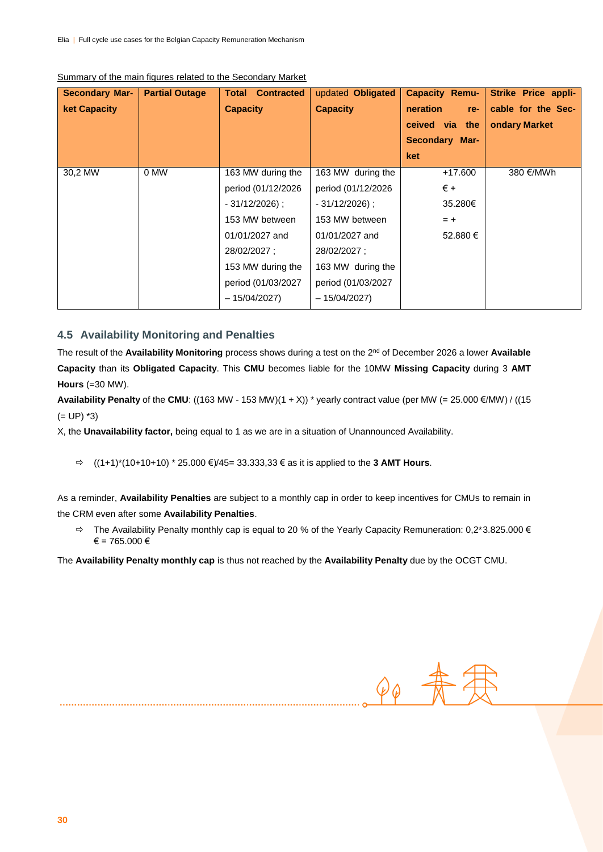| <b>Secondary Mar-</b> | <b>Partial Outage</b> | <b>Contracted</b><br>Total | updated Obligated   | <b>Capacity Remu-</b> | Strike Price appli- |
|-----------------------|-----------------------|----------------------------|---------------------|-----------------------|---------------------|
| <b>ket Capacity</b>   |                       | <b>Capacity</b>            | <b>Capacity</b>     | neration<br>re-       | cable for the Sec-  |
|                       |                       |                            |                     | ceived via the        | ondary Market       |
|                       |                       |                            |                     | <b>Secondary Mar-</b> |                     |
|                       |                       |                            |                     | ket                   |                     |
| 30,2 MW               | 0 MW                  | 163 MW during the          | 163 MW during the   | $+17.600$             | 380 €/MWh           |
|                       |                       | period (01/12/2026         | period (01/12/2026  | $\epsilon$ +          |                     |
|                       |                       | $-31/12/2026$ ;            | $-31/12/2026$ ;     | 35.280€               |                     |
|                       |                       | 153 MW between             | 153 MW between      | $= +$                 |                     |
|                       |                       | 01/01/2027 and             | 01/01/2027 and      | 52.880 €              |                     |
|                       |                       | 28/02/2027 :               | 28/02/2027 :        |                       |                     |
|                       |                       | 153 MW during the          | 163 MW during the   |                       |                     |
|                       |                       | period (01/03/2027         | period (01/03/2027) |                       |                     |
|                       |                       | - 15/04/2027)              | $-15/04/2027$       |                       |                     |

#### Summary of the main figures related to the Secondary Market

#### **4.5 Availability Monitoring and Penalties**

The result of the **Availability Monitoring** process shows during a test on the 2nd of December 2026 a lower **Available Capacity** than its **Obligated Capacity**. This **CMU** becomes liable for the 10MW **Missing Capacity** during 3 **AMT Hours** (=30 MW).

**Availability Penalty** of the **CMU**: ((163 MW - 153 MW)(1 + X)) \* yearly contract value (per MW (= 25.000 €/MW) / ((15  $(= UP)$  \*3)

X, the **Unavailability factor,** being equal to 1 as we are in a situation of Unannounced Availability.

((1+1)\*(10+10+10) \* 25.000 €)/45= 33.333,33 € as it is applied to the **3 AMT Hours**.

As a reminder, **Availability Penalties** are subject to a monthly cap in order to keep incentives for CMUs to remain in the CRM even after some **Availability Penalties**.

 The Availability Penalty monthly cap is equal to 20 % of the Yearly Capacity Remuneration: 0,2\*3.825.000 €  $€ = 765.000 €$ 

The **Availability Penalty monthly cap** is thus not reached by the **Availability Penalty** due by the OCGT CMU.

 $90$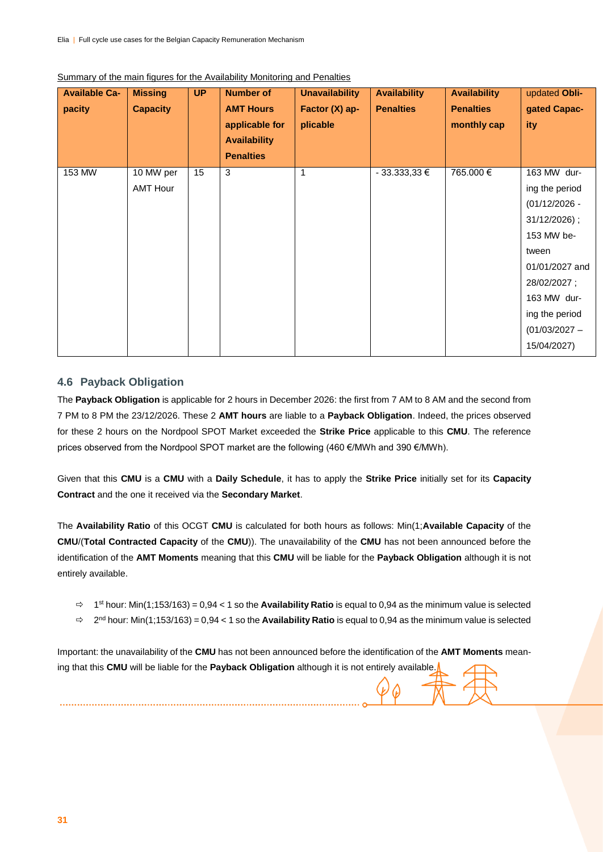| <b>Available Ca-</b><br>pacity | <b>Missing</b><br><b>Capacity</b> | <b>UP</b> | <b>Number of</b><br><b>AMT Hours</b><br>applicable for<br><b>Availability</b><br><b>Penalties</b> | <b>Unavailability</b><br>Factor (X) ap-<br>plicable | <b>Availability</b><br><b>Penalties</b> | <b>Availability</b><br><b>Penalties</b><br>monthly cap | updated Obli-<br>gated Capac-<br>ity                                                                                                                                                        |
|--------------------------------|-----------------------------------|-----------|---------------------------------------------------------------------------------------------------|-----------------------------------------------------|-----------------------------------------|--------------------------------------------------------|---------------------------------------------------------------------------------------------------------------------------------------------------------------------------------------------|
| 153 MW                         | 10 MW per<br><b>AMT Hour</b>      | 15        | 3                                                                                                 | 1                                                   | $-33.333,33 \in$                        | 765.000€                                               | 163 MW dur-<br>ing the period<br>$(01/12/2026 -$<br>31/12/2026);<br>153 MW be-<br>tween<br>01/01/2027 and<br>28/02/2027;<br>163 MW dur-<br>ing the period<br>$(01/03/2027 -$<br>15/04/2027) |

#### Summary of the main figures for the Availability Monitoring and Penalties

#### **4.6 Payback Obligation**

The **Payback Obligation** is applicable for 2 hours in December 2026: the first from 7 AM to 8 AM and the second from 7 PM to 8 PM the 23/12/2026. These 2 **AMT hours** are liable to a **Payback Obligation**. Indeed, the prices observed for these 2 hours on the Nordpool SPOT Market exceeded the **Strike Price** applicable to this **CMU**. The reference prices observed from the Nordpool SPOT market are the following (460 €/MWh and 390 €/MWh).

Given that this **CMU** is a **CMU** with a **Daily Schedule**, it has to apply the **Strike Price** initially set for its **Capacity Contract** and the one it received via the **Secondary Market**.

The **Availability Ratio** of this OCGT **CMU** is calculated for both hours as follows: Min(1;**Available Capacity** of the **CMU**/(**Total Contracted Capacity** of the **CMU**)). The unavailability of the **CMU** has not been announced before the identification of the **AMT Moments** meaning that this **CMU** will be liable for the **Payback Obligation** although it is not entirely available.

- $\Rightarrow$  1<sup>st</sup> hour: Min(1;153/163) = 0,94 < 1 so the **Availability Ratio** is equal to 0,94 as the minimum value is selected
- 2 nd hour: Min(1;153/163) = 0,94 < 1 so the **Availability Ratio** is equal to 0,94 as the minimum value is selected

Important: the unavailability of the **CMU** has not been announced before the identification of the **AMT Moments** meaning that this **CMU** will be liable for the **Payback Obligation** although it is not entirely available.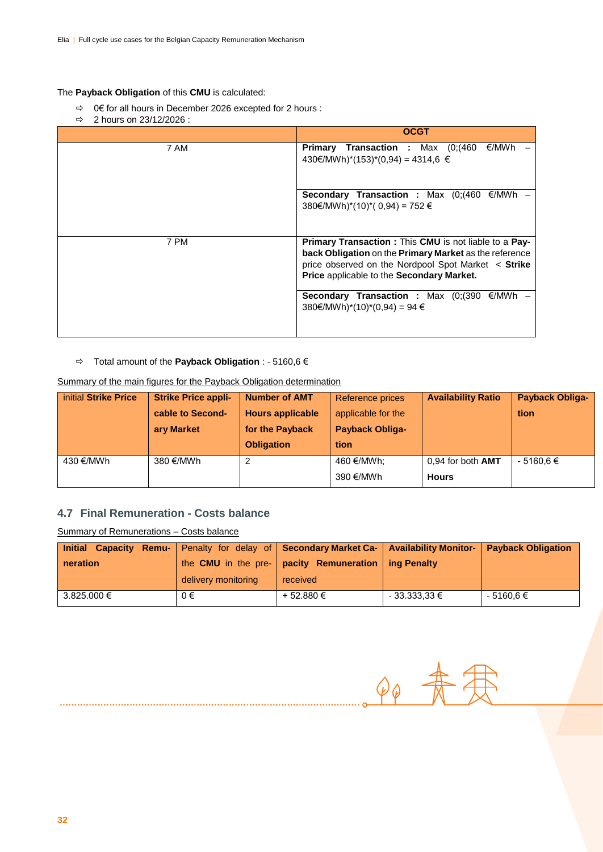#### The **Payback Obligation** of this **CMU** is calculated:

- 0€ for all hours in December 2026 excepted for 2 hours :
- $\Rightarrow$  2 hours on 23/12/2026 :

|      | <b>OCGT</b>                                                                                                                                                                                                                       |
|------|-----------------------------------------------------------------------------------------------------------------------------------------------------------------------------------------------------------------------------------|
| 7 AM | <b>Primary Transaction :</b> Max $(0)(460 \in MWh)$<br>430€/MWh)*(153)*(0,94) = 4314,6 €                                                                                                                                          |
|      | <b>Secondary Transaction :</b> Max $(0)(460 \in MWh$ –<br>380€/MWh)*(10)*(0,94) = 752 €                                                                                                                                           |
| 7 PM | <b>Primary Transaction: This CMU is not liable to a Pay-</b><br>back Obligation on the Primary Market as the reference<br>price observed on the Nordpool Spot Market < Strike<br><b>Price applicable to the Secondary Market.</b> |
|      | <b>Secondary Transaction :</b> Max $(0)(390 \in MWh$ –<br>$380€/MWh)*(10)*(0,94) = 94 €$                                                                                                                                          |

#### Total amount of the **Payback Obligation** : - 5160,6 €

#### Summary of the main figures for the Payback Obligation determination

| initial Strike Price | <b>Strike Price appli-</b> | <b>Number of AMT</b>    | Reference prices       | <b>Availability Ratio</b> | <b>Payback Obliga-</b> |
|----------------------|----------------------------|-------------------------|------------------------|---------------------------|------------------------|
|                      | cable to Second-           | <b>Hours applicable</b> | applicable for the     |                           | tion                   |
|                      | ary Market                 | for the Payback         | <b>Payback Obliga-</b> |                           |                        |
|                      |                            |                         |                        |                           |                        |
|                      |                            | <b>Obligation</b>       | tion                   |                           |                        |
| 430 €/MWh            | 380 €/MWh                  |                         | 460 €/MWh:             | $0.94$ for both $AMT$     | $-5160.6 \in$          |

#### **4.7 Final Remuneration - Costs balance**

Summary of Remunerations – Costs balance

| Initial Capacity Remu-   Penalty for delay of   Secondary Market Ca-   Availability Monitor-   Payback Obligation |                     |                                                             |                  |               |
|-------------------------------------------------------------------------------------------------------------------|---------------------|-------------------------------------------------------------|------------------|---------------|
| neration                                                                                                          |                     | the CMU in the pre- $ $ pacity Remuneration $ $ ing Penalty |                  |               |
|                                                                                                                   | delivery monitoring | received                                                    |                  |               |
| 3.825.000 €                                                                                                       | $0 \in$             | + 52.880 €                                                  | $-33.333,33 \in$ | $-5160,6 \in$ |

 $P\phi$  -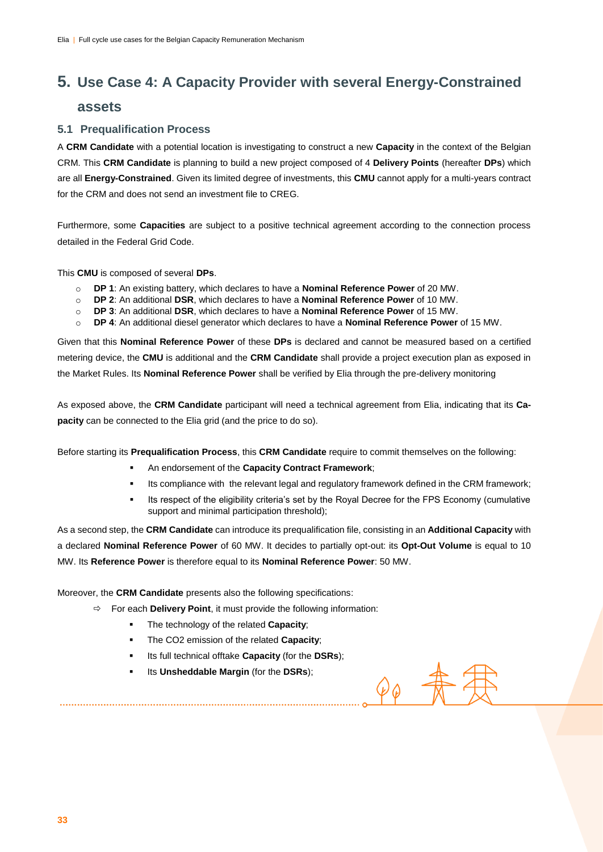# **5. Use Case 4: A Capacity Provider with several Energy-Constrained**

### **assets**

#### **5.1 Prequalification Process**

A **CRM Candidate** with a potential location is investigating to construct a new **Capacity** in the context of the Belgian CRM. This **CRM Candidate** is planning to build a new project composed of 4 **Delivery Points** (hereafter **DPs**) which are all **Energy-Constrained**. Given its limited degree of investments, this **CMU** cannot apply for a multi-years contract for the CRM and does not send an investment file to CREG.

Furthermore, some **Capacities** are subject to a positive technical agreement according to the connection process detailed in the Federal Grid Code.

This **CMU** is composed of several **DPs**.

- o **DP 1**: An existing battery, which declares to have a **Nominal Reference Power** of 20 MW.
- o **DP 2**: An additional **DSR**, which declares to have a **Nominal Reference Power** of 10 MW.
- o **DP 3**: An additional **DSR**, which declares to have a **Nominal Reference Power** of 15 MW.
- o **DP 4**: An additional diesel generator which declares to have a **Nominal Reference Power** of 15 MW.

Given that this **Nominal Reference Power** of these **DPs** is declared and cannot be measured based on a certified metering device, the **CMU** is additional and the **CRM Candidate** shall provide a project execution plan as exposed in the Market Rules. Its **Nominal Reference Power** shall be verified by Elia through the pre-delivery monitoring

As exposed above, the **CRM Candidate** participant will need a technical agreement from Elia, indicating that its **Capacity** can be connected to the Elia grid (and the price to do so).

Before starting its **Prequalification Process**, this **CRM Candidate** require to commit themselves on the following:

- An endorsement of the **Capacity Contract Framework**;
- Its compliance with the relevant legal and regulatory framework defined in the CRM framework;
- Its respect of the eligibility criteria's set by the Royal Decree for the FPS Economy (cumulative support and minimal participation threshold);

 $\varphi_{\varphi}$ 

As a second step, the **CRM Candidate** can introduce its prequalification file, consisting in an **Additional Capacity** with a declared **Nominal Reference Power** of 60 MW. It decides to partially opt-out: its **Opt-Out Volume** is equal to 10 MW. Its **Reference Power** is therefore equal to its **Nominal Reference Power**: 50 MW.

Moreover, the **CRM Candidate** presents also the following specifications:

- $\Rightarrow$  For each **Delivery Point**, it must provide the following information:
	- The technology of the related **Capacity**;
	- The CO2 emission of the related **Capacity**;
	- Its full technical offtake **Capacity** (for the **DSRs**);
	- Its **Unsheddable Margin** (for the **DSRs**);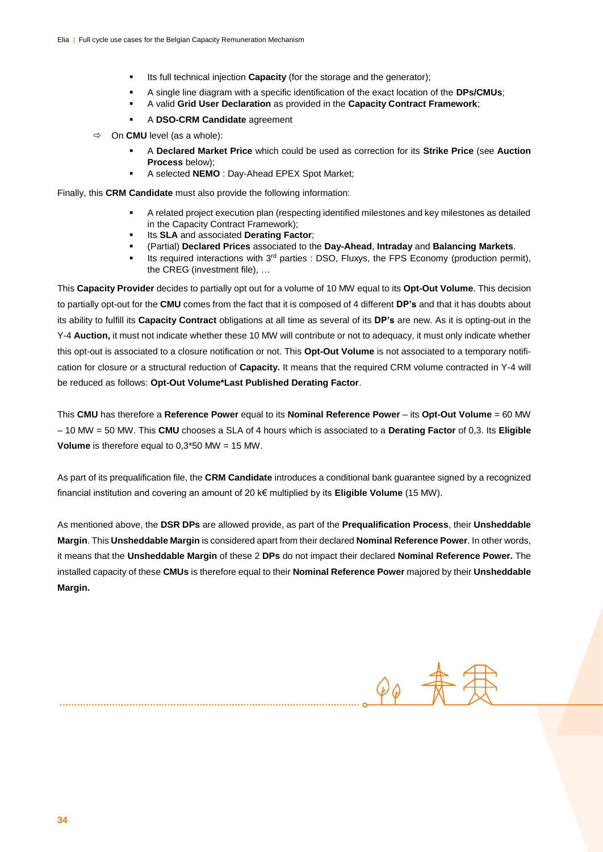- Its full technical injection **Capacity** (for the storage and the generator);
- A single line diagram with a specific identification of the exact location of the **DPs/CMUs**;
- A valid **Grid User Declaration** as provided in the **Capacity Contract Framework**;
- A **DSO-CRM Candidate** agreement
- On **CMU** level (as a whole):
	- A **Declared Market Price** which could be used as correction for its **Strike Price** (see **Auction Process** below);
	- A selected **NEMO** : Day-Ahead EPEX Spot Market;

Finally, this **CRM Candidate** must also provide the following information:

- A related project execution plan (respecting identified milestones and key milestones as detailed in the Capacity Contract Framework);
- Its **SLA** and associated **Derating Factor**;
- (Partial) **Declared Prices** associated to the **Day-Ahead**, **Intraday** and **Balancing Markets**.
- Its required interactions with  $3<sup>rd</sup>$  parties : DSO, Fluxys, the FPS Economy (production permit), the CREG (investment file), …

This **Capacity Provider** decides to partially opt out for a volume of 10 MW equal to its **Opt-Out Volume**. This decision to partially opt-out for the **CMU** comes from the fact that it is composed of 4 different **DP's** and that it has doubts about its ability to fulfill its **Capacity Contract** obligations at all time as several of its **DP's** are new. As it is opting-out in the Y-4 **Auction,** it must not indicate whether these 10 MW will contribute or not to adequacy, it must only indicate whether this opt-out is associated to a closure notification or not. This **Opt-Out Volume** is not associated to a temporary notification for closure or a structural reduction of **Capacity.** It means that the required CRM volume contracted in Y-4 will be reduced as follows: **Opt-Out Volume\*Last Published Derating Factor**.

This **CMU** has therefore a **Reference Power** equal to its **Nominal Reference Power** – its **Opt-Out Volume** = 60 MW – 10 MW = 50 MW. This **CMU** chooses a SLA of 4 hours which is associated to a **Derating Factor** of 0,3. Its **Eligible Volume** is therefore equal to 0,3\*50 MW = 15 MW.

As part of its prequalification file, the **CRM Candidate** introduces a conditional bank guarantee signed by a recognized financial institution and covering an amount of 20 k€ multiplied by its **Eligible Volume** (15 MW).

As mentioned above, the **DSR DPs** are allowed provide, as part of the **Prequalification Process**, their **Unsheddable Margin**. This **Unsheddable Margin** is considered apart from their declared **Nominal Reference Power**. In other words, it means that the **Unsheddable Margin** of these 2 **DPs** do not impact their declared **Nominal Reference Power.** The installed capacity of these **CMUs** is therefore equal to their **Nominal Reference Power** majored by their **Unsheddable Margin.** 

 $\mathcal{D} \varphi$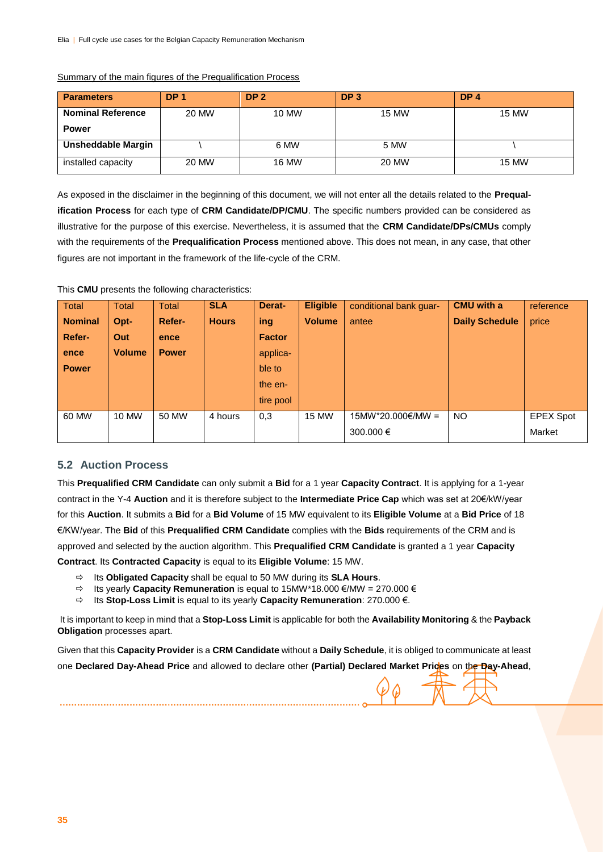| <b>Parameters</b>         | DP <sub>1</sub> | DP <sub>2</sub> | DP <sub>3</sub> | DP <sub>4</sub> |
|---------------------------|-----------------|-----------------|-----------------|-----------------|
| <b>Nominal Reference</b>  | 20 MW           | 10 MW           | <b>15 MW</b>    | <b>15 MW</b>    |
| <b>Power</b>              |                 |                 |                 |                 |
| <b>Unsheddable Margin</b> |                 | 6 MW            | 5 MW            |                 |
| installed capacity        | 20 MW           | <b>16 MW</b>    | 20 MW           | <b>15 MW</b>    |

#### Summary of the main figures of the Prequalification Process

As exposed in the disclaimer in the beginning of this document, we will not enter all the details related to the **Prequalification Process** for each type of **CRM Candidate/DP/CMU**. The specific numbers provided can be considered as illustrative for the purpose of this exercise. Nevertheless, it is assumed that the **CRM Candidate/DPs/CMUs** comply with the requirements of the **Prequalification Process** mentioned above. This does not mean, in any case, that other figures are not important in the framework of the life-cycle of the CRM.

| <b>Total</b>   | Total         | <b>Total</b>  | <b>SLA</b>   | Derat-        | <b>Eligible</b> | conditional bank guar- | <b>CMU</b> with a     | reference        |
|----------------|---------------|---------------|--------------|---------------|-----------------|------------------------|-----------------------|------------------|
| <b>Nominal</b> | Opt-          | <b>Refer-</b> | <b>Hours</b> | ing           | <b>Volume</b>   | antee                  | <b>Daily Schedule</b> | price            |
| Refer-         | Out           | ence          |              | <b>Factor</b> |                 |                        |                       |                  |
| ence           | <b>Volume</b> | <b>Power</b>  |              | applica-      |                 |                        |                       |                  |
| <b>Power</b>   |               |               |              | ble to        |                 |                        |                       |                  |
|                |               |               |              | the en-       |                 |                        |                       |                  |
|                |               |               |              | tire pool     |                 |                        |                       |                  |
| 60 MW          | 10 MW         | 50 MW         | 4 hours      | 0,3           | 15 MW           | 15MW*20.000€/MW =      | <b>NO</b>             | <b>EPEX Spot</b> |
|                |               |               |              |               |                 | 300,000 €              |                       | Market           |
|                |               |               |              |               |                 |                        |                       |                  |

#### This **CMU** presents the following characteristics:

#### **5.2 Auction Process**

This **Prequalified CRM Candidate** can only submit a **Bid** for a 1 year **Capacity Contract**. It is applying for a 1-year contract in the Y-4 **Auction** and it is therefore subject to the **Intermediate Price Cap** which was set at 20€/kW/year for this **Auction**. It submits a **Bid** for a **Bid Volume** of 15 MW equivalent to its **Eligible Volume** at a **Bid Price** of 18 €/KW/year. The **Bid** of this **Prequalified CRM Candidate** complies with the **Bids** requirements of the CRM and is approved and selected by the auction algorithm. This **Prequalified CRM Candidate** is granted a 1 year **Capacity Contract**. Its **Contracted Capacity** is equal to its **Eligible Volume**: 15 MW.

- Its **Obligated Capacity** shall be equal to 50 MW during its **SLA Hours**.
- Its yearly **Capacity Remuneration** is equal to 15MW\*18.000 €/MW = 270.000 €
- Its **Stop-Loss Limit** is equal to its yearly **Capacity Remuneration**: 270.000 €.

It is important to keep in mind that a **Stop-Loss Limit** is applicable for both the **Availability Monitoring** & the **Payback Obligation** processes apart.

Given that this **Capacity Provider** is a **CRM Candidate** without a **Daily Schedule**, it is obliged to communicate at least one **Declared Day-Ahead Price** and allowed to declare other **(Partial) Declared Market Prices** on the **Day-Ahead**,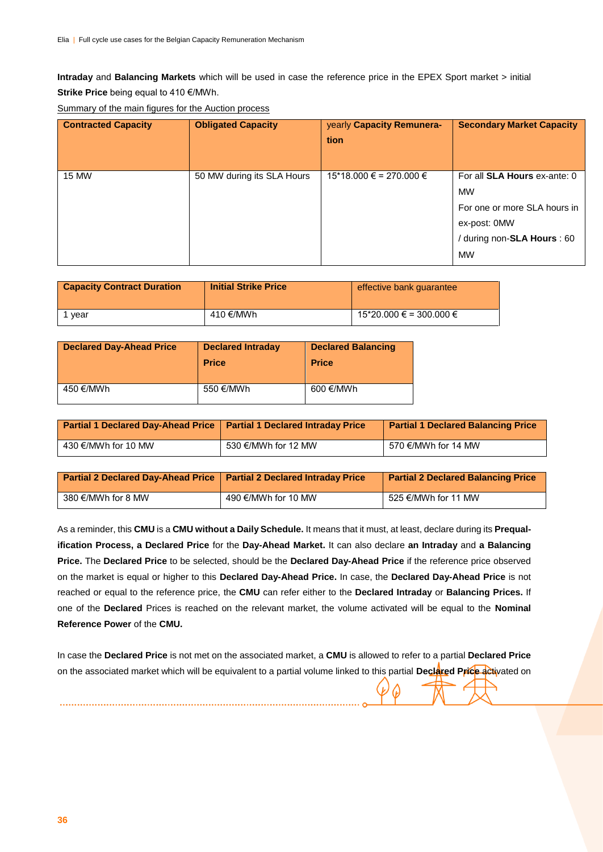**Intraday** and **Balancing Markets** which will be used in case the reference price in the EPEX Sport market > initial **Strike Price** being equal to 410 €/MWh.

| <b>Contracted Capacity</b> | <b>Obligated Capacity</b>  | yearly Capacity Remunera-<br>tion    | <b>Secondary Market Capacity</b>                                                                                                             |
|----------------------------|----------------------------|--------------------------------------|----------------------------------------------------------------------------------------------------------------------------------------------|
| <b>15 MW</b>               | 50 MW during its SLA Hours | $15*18.000 \text{ } \in$ = 270.000 € | For all <b>SLA Hours</b> ex-ante: 0<br><b>MW</b><br>For one or more SLA hours in<br>ex-post: 0MW<br>/ during non-SLA Hours : 60<br><b>MW</b> |

Summary of the main figures for the Auction process

| <b>Capacity Contract Duration</b> | <b>Initial Strike Price</b> | effective bank quarantee    |
|-----------------------------------|-----------------------------|-----------------------------|
| vear                              | 410 €/MWh                   | $15*20.000 \in 300.000 \in$ |

| <b>Declared Day-Ahead Price</b> | <b>Declared Intraday</b><br><b>Price</b> | <b>Declared Balancing</b><br><b>Price</b> |
|---------------------------------|------------------------------------------|-------------------------------------------|
| 450 €/MWh                       | 550 €/MWh                                | 600 €/MWh                                 |

| <b>Partial 1 Declared Day-Ahead Price   Partial 1 Declared Intraday Price</b> |                     | <b>Partial 1 Declared Balancing Price</b> |
|-------------------------------------------------------------------------------|---------------------|-------------------------------------------|
| 430 €/MWh for 10 MW                                                           | 530 €/MWh for 12 MW | 570 €/MWh for 14 MW                       |

| <b>Partial 2 Declared Day-Ahead Price   Partial 2 Declared Intraday Price</b> |                     | <b>Partial 2 Declared Balancing Price</b> |
|-------------------------------------------------------------------------------|---------------------|-------------------------------------------|
| 380 €/MWh for 8 MW                                                            | 490 €/MWh for 10 MW | 525 €/MWh for 11 MW                       |

As a reminder, this **CMU** is a **CMU without a Daily Schedule.** It means that it must, at least, declare during its **Prequalification Process, a Declared Price** for the **Day-Ahead Market.** It can also declare **an Intraday** and **a Balancing Price.** The **Declared Price** to be selected, should be the **Declared Day-Ahead Price** if the reference price observed on the market is equal or higher to this **Declared Day-Ahead Price.** In case, the **Declared Day-Ahead Price** is not reached or equal to the reference price, the **CMU** can refer either to the **Declared Intraday** or **Balancing Prices.** If one of the **Declared** Prices is reached on the relevant market, the volume activated will be equal to the **Nominal Reference Power** of the **CMU.**

In case the **Declared Price** is not met on the associated market, a **CMU** is allowed to refer to a partial **Declared Price** on the associated market which will be equivalent to a partial volume linked to this partial **Declared Price** activated on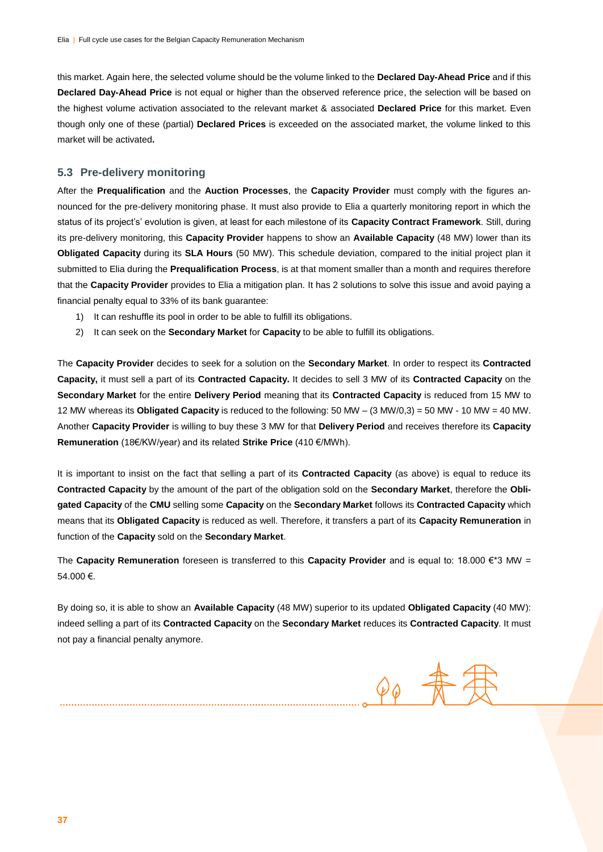this market. Again here, the selected volume should be the volume linked to the **Declared Day-Ahead Price** and if this **Declared Day-Ahead Price** is not equal or higher than the observed reference price, the selection will be based on the highest volume activation associated to the relevant market & associated **Declared Price** for this market. Even though only one of these (partial) **Declared Prices** is exceeded on the associated market, the volume linked to this market will be activated**.**

#### **5.3 Pre-delivery monitoring**

After the **Prequalification** and the **Auction Processes**, the **Capacity Provider** must comply with the figures announced for the pre-delivery monitoring phase. It must also provide to Elia a quarterly monitoring report in which the status of its project's' evolution is given, at least for each milestone of its **Capacity Contract Framework**. Still, during its pre-delivery monitoring, this **Capacity Provider** happens to show an **Available Capacity** (48 MW) lower than its **Obligated Capacity** during its **SLA Hours** (50 MW). This schedule deviation, compared to the initial project plan it submitted to Elia during the **Prequalification Process**, is at that moment smaller than a month and requires therefore that the **Capacity Provider** provides to Elia a mitigation plan. It has 2 solutions to solve this issue and avoid paying a financial penalty equal to 33% of its bank guarantee:

- 1) It can reshuffle its pool in order to be able to fulfill its obligations.
- 2) It can seek on the **Secondary Market** for **Capacity** to be able to fulfill its obligations.

The **Capacity Provider** decides to seek for a solution on the **Secondary Market**. In order to respect its **Contracted Capacity,** it must sell a part of its **Contracted Capacity.** It decides to sell 3 MW of its **Contracted Capacity** on the **Secondary Market** for the entire **Delivery Period** meaning that its **Contracted Capacity** is reduced from 15 MW to 12 MW whereas its **Obligated Capacity** is reduced to the following: 50 MW – (3 MW/0,3) = 50 MW - 10 MW = 40 MW. Another **Capacity Provider** is willing to buy these 3 MW for that **Delivery Period** and receives therefore its **Capacity Remuneration** (18€/KW/year) and its related **Strike Price** (410 €/MWh).

It is important to insist on the fact that selling a part of its **Contracted Capacity** (as above) is equal to reduce its **Contracted Capacity** by the amount of the part of the obligation sold on the **Secondary Market**, therefore the **Obligated Capacity** of the **CMU** selling some **Capacity** on the **Secondary Market** follows its **Contracted Capacity** which means that its **Obligated Capacity** is reduced as well. Therefore, it transfers a part of its **Capacity Remuneration** in function of the **Capacity** sold on the **Secondary Market**.

The **Capacity Remuneration** foreseen is transferred to this **Capacity Provider** and is equal to: 18.000 €\*3 MW = 54.000 €.

By doing so, it is able to show an **Available Capacity** (48 MW) superior to its updated **Obligated Capacity** (40 MW): indeed selling a part of its **Contracted Capacity** on the **Secondary Market** reduces its **Contracted Capacity**. It must not pay a financial penalty anymore.

 $90 - \frac{4}{5}$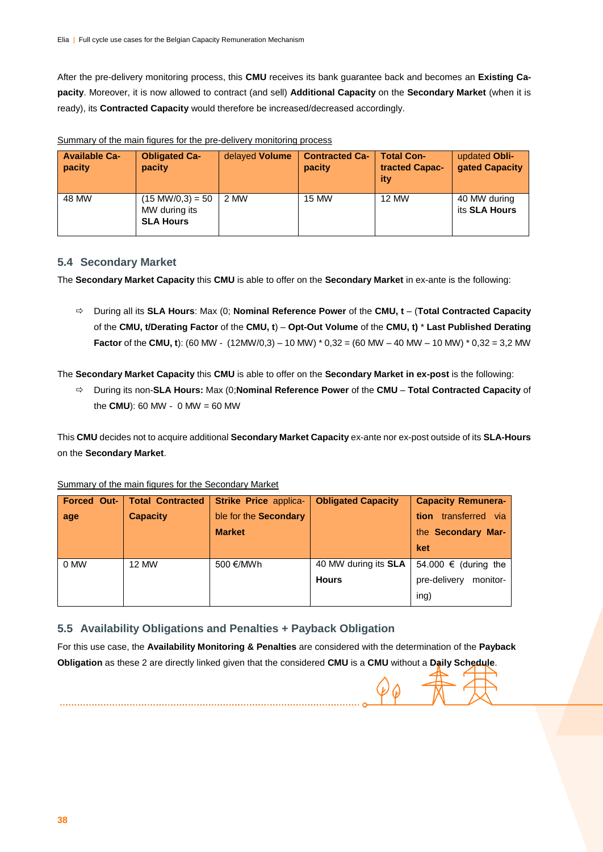After the pre-delivery monitoring process, this **CMU** receives its bank guarantee back and becomes an **Existing Capacity**. Moreover, it is now allowed to contract (and sell) **Additional Capacity** on the **Secondary Market** (when it is ready), its **Contracted Capacity** would therefore be increased/decreased accordingly.

| <b>Available Ca-</b><br>pacity | <b>Obligated Ca-</b><br>pacity                                   | delayed Volume | <b>Contracted Ca-</b><br><b>pacity</b> | <b>Total Con-</b><br>tracted Capac-<br>ity | updated Obli-<br>gated Capacity |
|--------------------------------|------------------------------------------------------------------|----------------|----------------------------------------|--------------------------------------------|---------------------------------|
| 48 MW                          | $(15 \text{ MW}/0, 3) = 50$<br>MW during its<br><b>SLA Hours</b> | 2 MW           | <b>15 MW</b>                           | <b>12 MW</b>                               | 40 MW during<br>its SLA Hours   |

Summary of the main figures for the pre-delivery monitoring process

#### **5.4 Secondary Market**

The **Secondary Market Capacity** this **CMU** is able to offer on the **Secondary Market** in ex-ante is the following:

 During all its **SLA Hours**: Max (0; **Nominal Reference Power** of the **CMU, t** – (**Total Contracted Capacity**  of the **CMU, t/Derating Factor** of the **CMU, t**) – **Opt-Out Volume** of the **CMU, t)** \* **Last Published Derating Factor** of the **CMU, t**): (60 MW - (12MW/0,3) – 10 MW) \* 0,32 = (60 MW – 40 MW – 10 MW) \* 0,32 = 3,2 MW

The **Secondary Market Capacity** this **CMU** is able to offer on the **Secondary Market in ex-post** is the following:

 During its non-**SLA Hours:** Max (0;**Nominal Reference Power** of the **CMU** – **Total Contracted Capacity** of the **CMU**): 60 MW - 0 MW = 60 MW

This **CMU** decides not to acquire additional **Secondary Market Capacity** ex-ante nor ex-post outside of its **SLA-Hours** on the **Secondary Market**.

|  |  |  | Summary of the main figures for the Secondary Market |  |
|--|--|--|------------------------------------------------------|--|
|  |  |  |                                                      |  |

| <b>Forced Out-</b> | <b>Total Contracted</b> | <b>Strike Price applica-</b> | <b>Obligated Capacity</b>   | <b>Capacity Remunera-</b> |
|--------------------|-------------------------|------------------------------|-----------------------------|---------------------------|
| age                | <b>Capacity</b>         | ble for the Secondary        |                             | transferred via<br>tion   |
|                    |                         | <b>Market</b>                |                             | the Secondary Mar-        |
|                    |                         |                              |                             | ket                       |
| 0 MW               | <b>12 MW</b>            | 500 €/MWh                    | 40 MW during its <b>SLA</b> | 54.000 € (during the      |
|                    |                         |                              | <b>Hours</b>                | pre-delivery<br>monitor-  |
|                    |                         |                              |                             | ing)                      |

#### **5.5 Availability Obligations and Penalties + Payback Obligation**

For this use case, the **Availability Monitoring & Penalties** are considered with the determination of the **Payback Obligation** as these 2 are directly linked given that the considered **CMU** is a **CMU** without a **Daily Schedule**.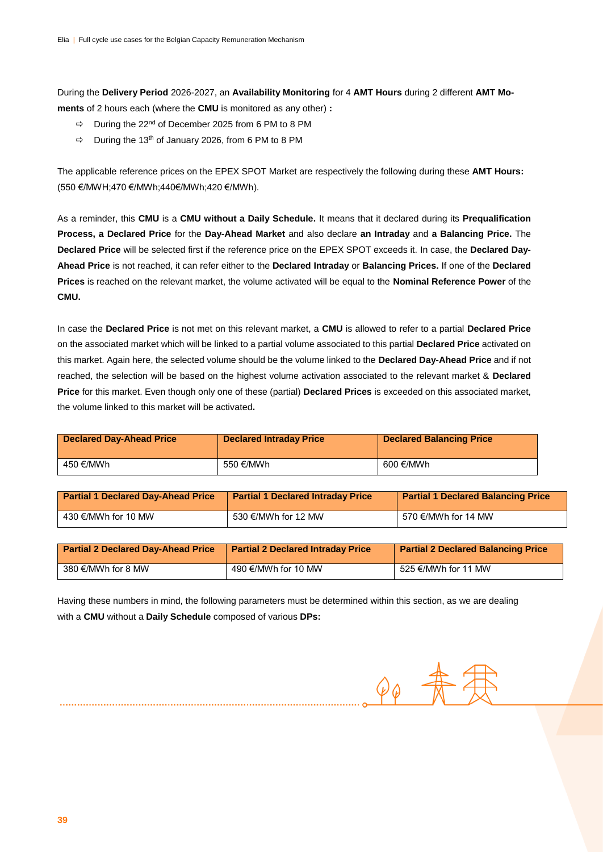During the **Delivery Period** 2026-2027, an **Availability Monitoring** for 4 **AMT Hours** during 2 different **AMT Moments** of 2 hours each (where the **CMU** is monitored as any other) **:** 

- $\Rightarrow$  During the 22<sup>nd</sup> of December 2025 from 6 PM to 8 PM
- $\Rightarrow$  During the 13<sup>th</sup> of January 2026, from 6 PM to 8 PM

The applicable reference prices on the EPEX SPOT Market are respectively the following during these **AMT Hours:**  (550 €/MWH;470 €/MWh;440€/MWh;420 €/MWh).

As a reminder, this **CMU** is a **CMU without a Daily Schedule.** It means that it declared during its **Prequalification Process, a Declared Price** for the **Day-Ahead Market** and also declare **an Intraday** and **a Balancing Price.** The **Declared Price** will be selected first if the reference price on the EPEX SPOT exceeds it. In case, the **Declared Day-Ahead Price** is not reached, it can refer either to the **Declared Intraday** or **Balancing Prices.** If one of the **Declared Prices** is reached on the relevant market, the volume activated will be equal to the **Nominal Reference Power** of the **CMU.**

In case the **Declared Price** is not met on this relevant market, a **CMU** is allowed to refer to a partial **Declared Price** on the associated market which will be linked to a partial volume associated to this partial **Declared Price** activated on this market. Again here, the selected volume should be the volume linked to the **Declared Day-Ahead Price** and if not reached, the selection will be based on the highest volume activation associated to the relevant market & **Declared Price** for this market. Even though only one of these (partial) **Declared Prices** is exceeded on this associated market, the volume linked to this market will be activated**.**

| <b>Declared Day-Ahead Price</b> | <b>Declared Intraday Price</b> | <b>Declared Balancing Price</b> |
|---------------------------------|--------------------------------|---------------------------------|
| 450 €/MWh                       | 550 €/MWh                      | 600 €/MWh                       |

| <b>Partial 1 Declared Day-Ahead Price</b> | <b>Partial 1 Declared Intraday Price</b> | <b>Partial 1 Declared Balancing Price</b> |
|-------------------------------------------|------------------------------------------|-------------------------------------------|
| 430 €/MWh for 10 MW                       | 530 €/MWh for 12 MW                      | 570 €/MWh for 14 MW                       |

| <b>Partial 2 Declared Day-Ahead Price</b> | <b>Partial 2 Declared Intraday Price</b> | <b>Partial 2 Declared Balancing Price</b> |
|-------------------------------------------|------------------------------------------|-------------------------------------------|
| 380 €/MWh for 8 MW                        | 490 €/MWh for 10 MW                      | 525 €/MWh for 11 MW                       |

Having these numbers in mind, the following parameters must be determined within this section, as we are dealing with a **CMU** without a **Daily Schedule** composed of various **DPs:** 

 $\mathcal{O} \, \phi$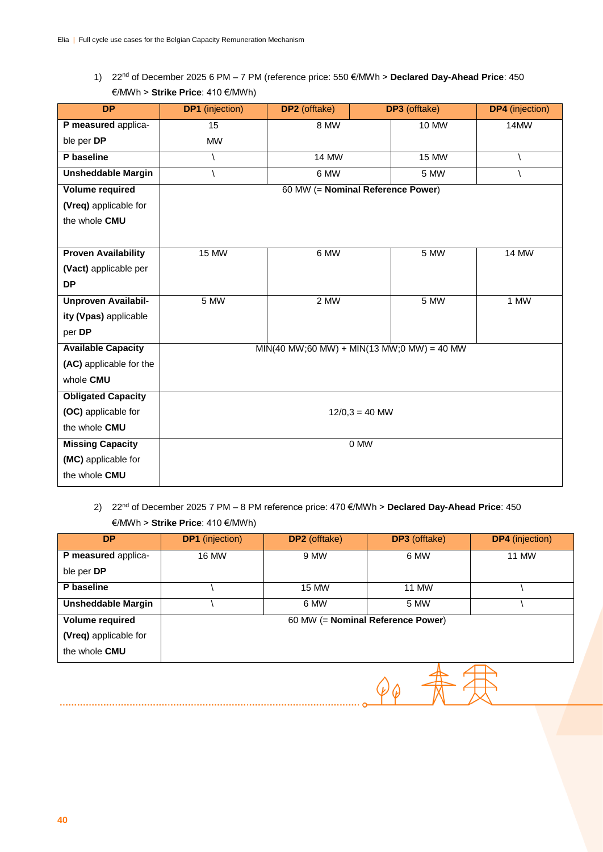1) 22nd of December 2025 6 PM – 7 PM (reference price: 550 €/MWh > **Declared Day-Ahead Price**: 450 €/MWh > **Strike Price**: 410 €/MWh)

| <b>DP</b>                  | <b>DP1</b> (injection) | DP2 (offtake)                     | <b>DP3</b> (offtake)                           | <b>DP4</b> (injection) |  |  |
|----------------------------|------------------------|-----------------------------------|------------------------------------------------|------------------------|--|--|
| P measured applica-        | 15                     | 8 MW                              | <b>10 MW</b>                                   | 14MW                   |  |  |
| ble per DP                 | <b>MW</b>              |                                   |                                                |                        |  |  |
| P baseline                 |                        | <b>14 MW</b>                      | <b>15 MW</b>                                   |                        |  |  |
| <b>Unsheddable Margin</b>  |                        | 6 MW                              | 5 MW                                           |                        |  |  |
| <b>Volume required</b>     |                        | 60 MW (= Nominal Reference Power) |                                                |                        |  |  |
| (Vreq) applicable for      |                        |                                   |                                                |                        |  |  |
| the whole CMU              |                        |                                   |                                                |                        |  |  |
|                            |                        |                                   |                                                |                        |  |  |
| <b>Proven Availability</b> | <b>15 MW</b>           | 6 MW                              | 5 MW                                           | <b>14 MW</b>           |  |  |
| (Vact) applicable per      |                        |                                   |                                                |                        |  |  |
| <b>DP</b>                  |                        |                                   |                                                |                        |  |  |
| <b>Unproven Availabil-</b> | 5 MW                   | $2$ MW                            | 5 MW                                           | $1$ MW                 |  |  |
| ity (Vpas) applicable      |                        |                                   |                                                |                        |  |  |
| per DP                     |                        |                                   |                                                |                        |  |  |
| <b>Available Capacity</b>  |                        |                                   | $MIN(40 MW; 60 MW) + MIN(13 MW; 0 MW) = 40 MW$ |                        |  |  |
| (AC) applicable for the    |                        |                                   |                                                |                        |  |  |
| whole CMU                  |                        |                                   |                                                |                        |  |  |
| <b>Obligated Capacity</b>  |                        |                                   |                                                |                        |  |  |
| (OC) applicable for        | $12/0,3 = 40$ MW       |                                   |                                                |                        |  |  |
| the whole CMU              |                        |                                   |                                                |                        |  |  |
| <b>Missing Capacity</b>    | 0 MW                   |                                   |                                                |                        |  |  |
| (MC) applicable for        |                        |                                   |                                                |                        |  |  |
| the whole CMU              |                        |                                   |                                                |                        |  |  |

### 2) 22nd of December 2025 7 PM – 8 PM reference price: 470 €/MWh > **Declared Day-Ahead Price**: 450 €/MWh > **Strike Price**: 410 €/MWh)

| <b>DP</b>                 | <b>DP1</b> (injection) | <b>DP2</b> (offtake) | <b>DP3</b> (offtake)              | <b>DP4</b> (injection) |
|---------------------------|------------------------|----------------------|-----------------------------------|------------------------|
| P measured applica-       | 16 MW                  | 9 MW                 | 6 MW                              | 11 MW                  |
| ble per <b>DP</b>         |                        |                      |                                   |                        |
| P baseline                |                        | 15 MW                | 11 MW                             |                        |
| <b>Unsheddable Margin</b> |                        | 6 MW                 | 5 MW                              |                        |
| <b>Volume required</b>    |                        |                      | 60 MW (= Nominal Reference Power) |                        |
| (Vreq) applicable for     |                        |                      |                                   |                        |
| the whole <b>CMU</b>      |                        |                      |                                   |                        |

 $90 + 72$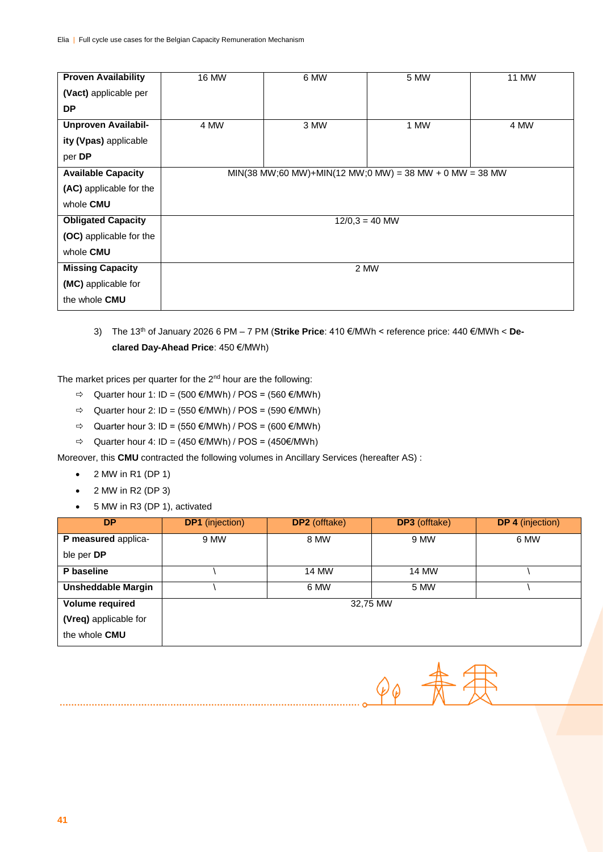| <b>Proven Availability</b> | <b>16 MW</b>     | 6 MW                                                          | 5 MW | <b>11 MW</b> |  |  |  |
|----------------------------|------------------|---------------------------------------------------------------|------|--------------|--|--|--|
| (Vact) applicable per      |                  |                                                               |      |              |  |  |  |
| <b>DP</b>                  |                  |                                                               |      |              |  |  |  |
| Unproven Availabil-        | 4 MW             | 3 MW                                                          | 1 MW | 4 MW         |  |  |  |
| ity (Vpas) applicable      |                  |                                                               |      |              |  |  |  |
| per DP                     |                  |                                                               |      |              |  |  |  |
| <b>Available Capacity</b>  |                  | $MIN(38 MW; 60 MW) + MIN(12 MW; 0 MW) = 38 MW + 0 MW = 38 MW$ |      |              |  |  |  |
| (AC) applicable for the    |                  |                                                               |      |              |  |  |  |
| whole CMU                  |                  |                                                               |      |              |  |  |  |
| <b>Obligated Capacity</b>  | $12/0.3 = 40$ MW |                                                               |      |              |  |  |  |
| (OC) applicable for the    |                  |                                                               |      |              |  |  |  |
| whole CMU                  |                  |                                                               |      |              |  |  |  |
| <b>Missing Capacity</b>    | 2 MW             |                                                               |      |              |  |  |  |
| (MC) applicable for        |                  |                                                               |      |              |  |  |  |
| the whole CMU              |                  |                                                               |      |              |  |  |  |

3) The 13th of January 2026 6 PM – 7 PM (**Strike Price**: 410 €/MWh < reference price: 440 €/MWh < **Declared Day-Ahead Price**: 450 €/MWh)

The market prices per quarter for the 2<sup>nd</sup> hour are the following:

- $\Rightarrow$  Quarter hour 1: ID = (500 €/MWh) / POS = (560 €/MWh)
- $\Rightarrow$  Quarter hour 2: ID = (550 €/MWh) / POS = (590 €/MWh)
- $\Rightarrow$  Quarter hour 3: ID = (550 €/MWh) / POS = (600 €/MWh)
- $\Rightarrow$  Quarter hour 4: ID = (450 €/MWh) / POS = (450 €/MWh)

Moreover, this **CMU** contracted the following volumes in Ancillary Services (hereafter AS) :

- $\bullet$  2 MW in R1 (DP 1)
- $\bullet$  2 MW in R2 (DP 3)
- 5 MW in R3 (DP 1), activated

| <b>DP</b>                 | <b>DP1</b> (injection) | <b>DP2</b> (offtake) | <b>DP3</b> (offtake) | <b>DP 4</b> (injection) |
|---------------------------|------------------------|----------------------|----------------------|-------------------------|
| P measured applica-       | 9 MW                   | 8 MW                 | 9 MW                 | 6 MW                    |
| ble per DP                |                        |                      |                      |                         |
| P baseline                |                        | 14 MW                | 14 MW                |                         |
| <b>Unsheddable Margin</b> |                        | 6 MW                 | 5 MW                 |                         |
| <b>Volume required</b>    |                        | 32,75 MW             |                      |                         |
| (Vreq) applicable for     |                        |                      |                      |                         |
| the whole <b>CMU</b>      |                        |                      |                      |                         |

 $\varphi_{\varphi}$   $\overline{\mathcal{A}}$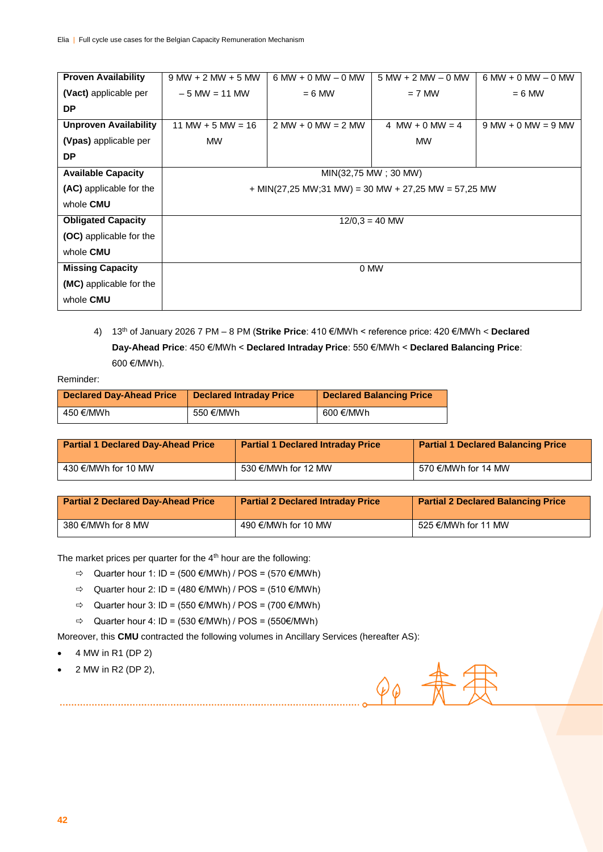| <b>Proven Availability</b>     | $9 MW + 2 MW + 5 MW$ | $6 MW + 0 MW - 0 MW$                                  | $5 MW + 2 MW - 0 MW$ | $6 MW + 0 MW - 0 MW$ |  |  |  |
|--------------------------------|----------------------|-------------------------------------------------------|----------------------|----------------------|--|--|--|
| (Vact) applicable per          | $-5$ MW $= 11$ MW    | $= 6$ MW                                              | $= 7$ MW             | $= 6$ MW             |  |  |  |
| <b>DP</b>                      |                      |                                                       |                      |                      |  |  |  |
| <b>Unproven Availability</b>   | $11$ MW + 5 MW = 16  | $2 MW + 0 MW = 2 MW$                                  | 4 MW + 0 MW = 4      | $9 MW + 0 MW = 9 MW$ |  |  |  |
| (Vpas) applicable per          | <b>MW</b>            |                                                       | <b>MW</b>            |                      |  |  |  |
| <b>DP</b>                      |                      |                                                       |                      |                      |  |  |  |
| <b>Available Capacity</b>      | MIN(32,75 MW; 30 MW) |                                                       |                      |                      |  |  |  |
| (AC) applicable for the        |                      | $+$ MIN(27,25 MW;31 MW) = 30 MW + 27,25 MW = 57,25 MW |                      |                      |  |  |  |
| whole CMU                      |                      |                                                       |                      |                      |  |  |  |
| <b>Obligated Capacity</b>      |                      | $12/0.3 = 40$ MW                                      |                      |                      |  |  |  |
| <b>(OC)</b> applicable for the |                      |                                                       |                      |                      |  |  |  |
| whole CMU                      |                      |                                                       |                      |                      |  |  |  |
| <b>Missing Capacity</b>        | 0 MW                 |                                                       |                      |                      |  |  |  |
| (MC) applicable for the        |                      |                                                       |                      |                      |  |  |  |
| whole CMU                      |                      |                                                       |                      |                      |  |  |  |

4) 13th of January 2026 7 PM – 8 PM (**Strike Price**: 410 €/MWh < reference price: 420 €/MWh < **Declared Day-Ahead Price**: 450 €/MWh < **Declared Intraday Price**: 550 €/MWh < **Declared Balancing Price**: 600 €/MWh).

Reminder:

| Declared Day-Ahead Price | <b>Declared Intraday Price</b> | <b>Declared Balancing Price</b> |
|--------------------------|--------------------------------|---------------------------------|
| 450 €/MWh                | 550 €/MWh                      | 600 €/MWh                       |

| <b>Partial 1 Declared Day-Ahead Price</b> | <b>Partial 1 Declared Intraday Price</b> | <b>Partial 1 Declared Balancing Price</b> |
|-------------------------------------------|------------------------------------------|-------------------------------------------|
| 430 €/MWh for 10 MW                       | 530 €/MWh for 12 MW                      | 570 €/MWh for 14 MW                       |

| <b>Partial 2 Declared Day-Ahead Price</b> | <b>Partial 2 Declared Intraday Price</b> | <b>Partial 2 Declared Balancing Price</b> |
|-------------------------------------------|------------------------------------------|-------------------------------------------|
| 380 €/MWh for 8 MW                        | 490 €/MWh for 10 MW                      | 525 €/MWh for 11 MW                       |

The market prices per quarter for the 4<sup>th</sup> hour are the following:

- $\Rightarrow$  Quarter hour 1: ID = (500 €/MWh) / POS = (570 €/MWh)
- $\Rightarrow$  Quarter hour 2: ID = (480 €/MWh) / POS = (510 €/MWh)
- $\Rightarrow$  Quarter hour 3: ID = (550 €/MWh) / POS = (700 €/MWh)
- $\Rightarrow$  Quarter hour 4: ID = (530 €/MWh) / POS = (550€/MWh)

- Moreover, this **CMU** contracted the following volumes in Ancillary Services (hereafter AS):
- $\bullet$  4 MW in R1 (DP 2)
- 2 MW in R2 (DP 2),

 $\varphi_{\varphi}$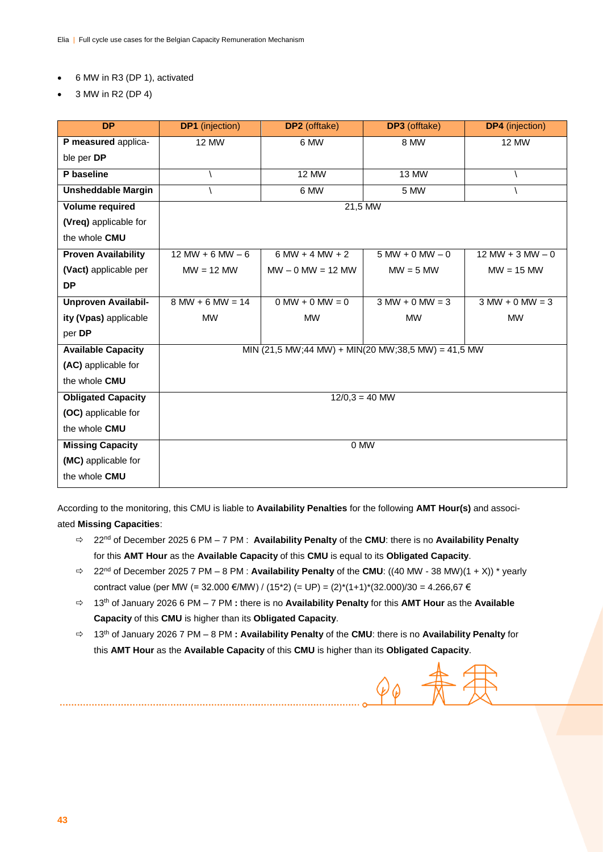#### 6 MW in R3 (DP 1), activated

3 MW in R2 (DP 4)

| <b>DP</b>                  | <b>DP1</b> (injection) | <b>DP2</b> (offtake)                               | <b>DP3</b> (offtake) | <b>DP4</b> (injection) |  |  |  |
|----------------------------|------------------------|----------------------------------------------------|----------------------|------------------------|--|--|--|
| P measured applica-        | <b>12 MW</b>           | 6 MW                                               | 8 MW                 | <b>12 MW</b>           |  |  |  |
| ble per DP                 |                        |                                                    |                      |                        |  |  |  |
| P baseline                 |                        | <b>12 MW</b>                                       | 13 MW                |                        |  |  |  |
| <b>Unsheddable Margin</b>  |                        | 6 MW                                               | 5 MW                 |                        |  |  |  |
| <b>Volume required</b>     |                        | 21,5 MW                                            |                      |                        |  |  |  |
| (Vreq) applicable for      |                        |                                                    |                      |                        |  |  |  |
| the whole CMU              |                        |                                                    |                      |                        |  |  |  |
| <b>Proven Availability</b> | $12 MW + 6 MW - 6$     | $6 MW + 4 MW + 2$                                  | $5 MW + 0 MW - 0$    | $12 MW + 3 MW - 0$     |  |  |  |
| (Vact) applicable per      | $MW = 12 MW$           | $MW - 0 MW = 12 MW$                                | $MW = 5 MW$          | $MW = 15 MW$           |  |  |  |
| <b>DP</b>                  |                        |                                                    |                      |                        |  |  |  |
| <b>Unproven Availabil-</b> | $8 MW + 6 MW = 14$     | $0$ MW + 0 MW = 0                                  | $3 MW + 0 MW = 3$    | $3 MW + 0 MW = 3$      |  |  |  |
| ity (Vpas) applicable      | <b>MW</b>              | <b>MW</b>                                          | <b>MW</b>            | <b>MW</b>              |  |  |  |
| per DP                     |                        |                                                    |                      |                        |  |  |  |
| <b>Available Capacity</b>  |                        | MIN (21,5 MW;44 MW) + MIN(20 MW;38,5 MW) = 41,5 MW |                      |                        |  |  |  |
| (AC) applicable for        |                        |                                                    |                      |                        |  |  |  |
| the whole CMU              |                        |                                                    |                      |                        |  |  |  |
| <b>Obligated Capacity</b>  | $12/0,3 = 40$ MW       |                                                    |                      |                        |  |  |  |
| (OC) applicable for        |                        |                                                    |                      |                        |  |  |  |
| the whole CMU              |                        |                                                    |                      |                        |  |  |  |
| <b>Missing Capacity</b>    | 0 MW                   |                                                    |                      |                        |  |  |  |
| (MC) applicable for        |                        |                                                    |                      |                        |  |  |  |
| the whole CMU              |                        |                                                    |                      |                        |  |  |  |

According to the monitoring, this CMU is liable to **Availability Penalties** for the following **AMT Hour(s)** and associated **Missing Capacities**:

- 22nd of December 2025 6 PM 7 PM : **Availability Penalty** of the **CMU**: there is no **Availability Penalty** for this **AMT Hour** as the **Available Capacity** of this **CMU** is equal to its **Obligated Capacity**.
- $\Rightarrow$  22<sup>nd</sup> of December 2025 7 PM 8 PM : **Availability Penalty** of the **CMU**: ((40 MW 38 MW)(1 + X)) \* yearly contract value (per MW (= 32.000 €/MW) / (15\*2) (= UP) =  $(2)^*(1+1)^*(32.000)/30 = 4.266,67 \in$
- 13th of January 2026 6 PM 7 PM **:** there is no **Availability Penalty** for this **AMT Hour** as the **Available Capacity** of this **CMU** is higher than its **Obligated Capacity**.
- 13th of January 2026 7 PM 8 PM **: Availability Penalty** of the **CMU**: there is no **Availability Penalty** for this **AMT Hour** as the **Available Capacity** of this **CMU** is higher than its **Obligated Capacity**.

 $\mathscr{\varphi}_{\bm{\mathrm{\varphi}}}$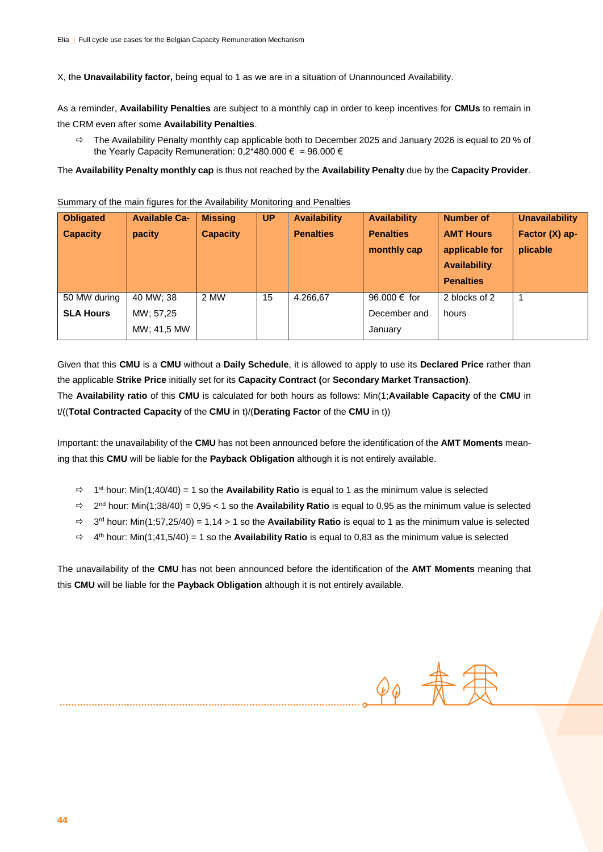X, the **Unavailability factor,** being equal to 1 as we are in a situation of Unannounced Availability.

As a reminder, **Availability Penalties** are subject to a monthly cap in order to keep incentives for **CMUs** to remain in the CRM even after some **Availability Penalties**.

 $\Rightarrow$  The Availability Penalty monthly cap applicable both to December 2025 and January 2026 is equal to 20 % of the Yearly Capacity Remuneration: 0,2\*480.000 € = 96.000 €

The **Availability Penalty monthly cap** is thus not reached by the **Availability Penalty** due by the **Capacity Provider**.

Summary of the main figures for the Availability Monitoring and Penalties

| <b>Obligated</b> | <b>Available Ca-</b> | <b>Missing</b>  | <b>UP</b> | <b>Availability</b> | <b>Availability</b> | <b>Number of</b>    | <b>Unavailability</b> |
|------------------|----------------------|-----------------|-----------|---------------------|---------------------|---------------------|-----------------------|
| <b>Capacity</b>  | pacity               | <b>Capacity</b> |           | <b>Penalties</b>    | <b>Penalties</b>    | <b>AMT Hours</b>    | Factor $(X)$ ap-      |
|                  |                      |                 |           |                     | monthly cap         | applicable for      | plicable              |
|                  |                      |                 |           |                     |                     | <b>Availability</b> |                       |
|                  |                      |                 |           |                     |                     | <b>Penalties</b>    |                       |
| 50 MW during     | 40 MW; 38            | 2 MW            | 15        | 4.266,67            | 96,000 € for        | 2 blocks of 2       |                       |
| <b>SLA Hours</b> | MW; 57,25            |                 |           |                     | December and        | hours               |                       |
|                  | MW: 41,5 MW          |                 |           |                     | January             |                     |                       |

Given that this **CMU** is a **CMU** without a **Daily Schedule**, it is allowed to apply to use its **Declared Price** rather than the applicable **Strike Price** initially set for its **Capacity Contract (**or **Secondary Market Transaction)**. The **Availability ratio** of this **CMU** is calculated for both hours as follows: Min(1;**Available Capacity** of the **CMU** in t/((**Total Contracted Capacity** of the **CMU** in t)/(**Derating Factor** of the **CMU** in t))

Important: the unavailability of the **CMU** has not been announced before the identification of the **AMT Moments** meaning that this **CMU** will be liable for the **Payback Obligation** although it is not entirely available.

- 1 st hour: Min(1;40/40) = 1 so the **Availability Ratio** is equal to 1 as the minimum value is selected
- 2 nd hour: Min(1;38/40) = 0,95 < 1 so the **Availability Ratio** is equal to 0,95 as the minimum value is selected
- 3 rd hour: Min(1;57,25/40) = 1,14 > 1 so the **Availability Ratio** is equal to 1 as the minimum value is selected
- 4 th hour: Min(1;41,5/40) = 1 so the **Availability Ratio** is equal to 0,83 as the minimum value is selected

The unavailability of the **CMU** has not been announced before the identification of the **AMT Moments** meaning that this **CMU** will be liable for the **Payback Obligation** although it is not entirely available.

 $90 \frac{4}{10}$